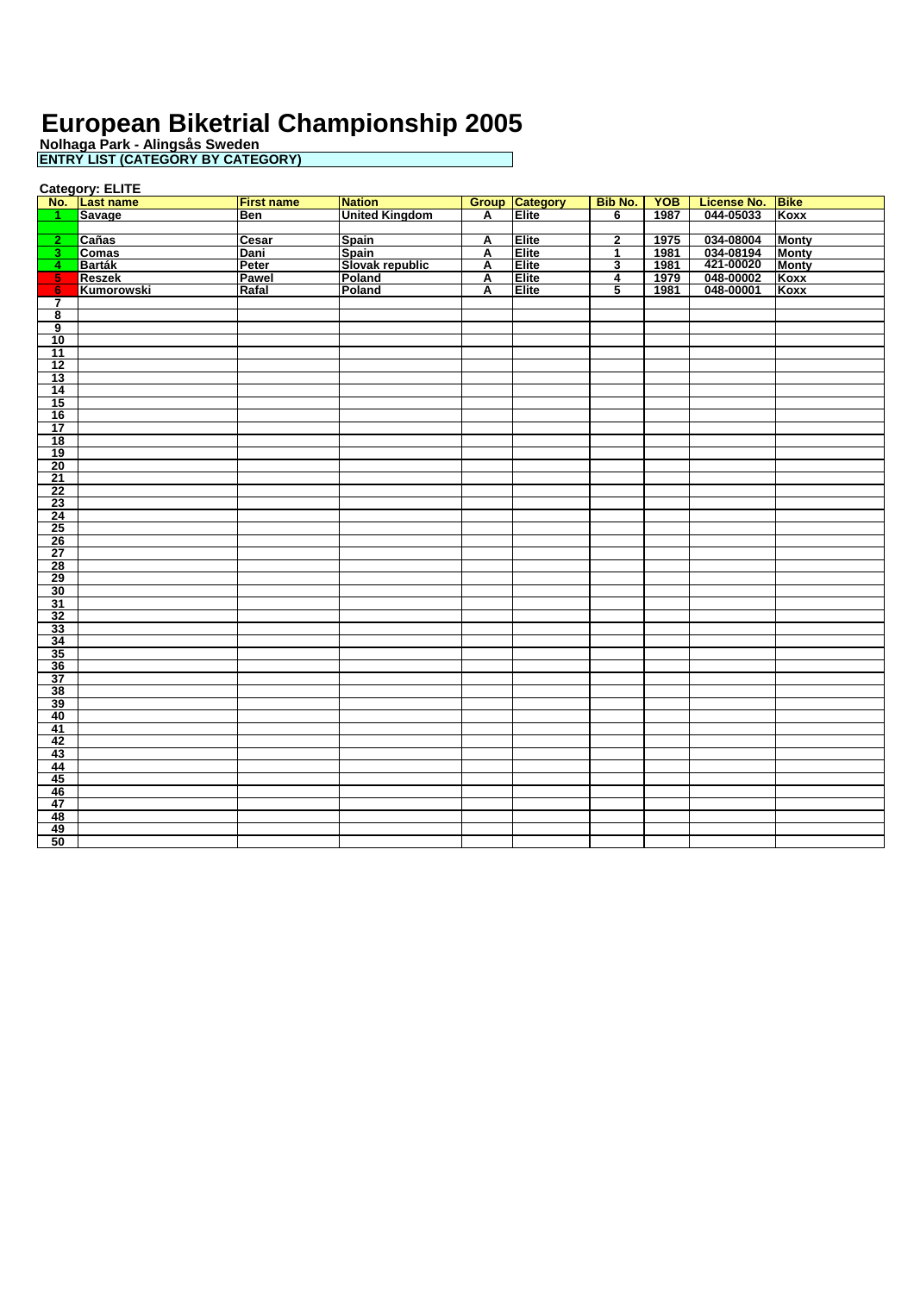**Nolhaga Park - Alingsås Sweden ENTRY LIST (CATEGORY BY CATEGORY)**

**Category: ELITE**

|                                      | No. Last name | <b>First name</b> | <b>Nation</b>         |                | <b>Group Category</b> | <b>Bib No.</b>          | <b>YOB</b> | License No. Bike |              |
|--------------------------------------|---------------|-------------------|-----------------------|----------------|-----------------------|-------------------------|------------|------------------|--------------|
| $\blacksquare$                       | <b>Savage</b> | <b>Ben</b>        | <b>United Kingdom</b> | A              | Elite                 | $\overline{6}$          | 1987       | 044-05033        | Koxx         |
|                                      |               |                   |                       |                |                       |                         |            |                  |              |
| $\overline{2}$                       | Cañas         | Cesar             | <b>Spain</b>          | A              | Elite                 | $\overline{\mathbf{2}}$ | 1975       | 034-08004        | <b>Monty</b> |
| $\overline{\mathbf{3}}$              | <b>Comas</b>  | Dani              | Spain                 | $\overline{A}$ | Elite                 | 1                       | 1981       | 034-08194        | <b>Monty</b> |
| $\overline{4}$                       | Barták        | Peter             | Slovak republic       | A              | Elite                 | 3                       | 1981       | 421-00020        | <b>Monty</b> |
| 5 <sub>1</sub>                       | <b>Reszek</b> | Pawel             | Poland                | Α              | Elite                 | 4                       | 1979       | 048-00002        | Koxx         |
| 6                                    | Kumorowski    | Rafal             | Poland                | A              | Elite                 | 5                       | 1981       | 048-00001        | Koxx         |
| $\overline{7}$                       |               |                   |                       |                |                       |                         |            |                  |              |
| $\overline{\mathbf{8}}$              |               |                   |                       |                |                       |                         |            |                  |              |
|                                      |               |                   |                       |                |                       |                         |            |                  |              |
| $\frac{9}{10}$                       |               |                   |                       |                |                       |                         |            |                  |              |
| $\overline{11}$                      |               |                   |                       |                |                       |                         |            |                  |              |
| 12                                   |               |                   |                       |                |                       |                         |            |                  |              |
| 13                                   |               |                   |                       |                |                       |                         |            |                  |              |
| $\frac{14}{15}$                      |               |                   |                       |                |                       |                         |            |                  |              |
|                                      |               |                   |                       |                |                       |                         |            |                  |              |
| $\frac{16}{17}$                      |               |                   |                       |                |                       |                         |            |                  |              |
|                                      |               |                   |                       |                |                       |                         |            |                  |              |
| 18                                   |               |                   |                       |                |                       |                         |            |                  |              |
| $\overline{19}$                      |               |                   |                       |                |                       |                         |            |                  |              |
|                                      |               |                   |                       |                |                       |                         |            |                  |              |
| $\frac{20}{21}$                      |               |                   |                       |                |                       |                         |            |                  |              |
| 22                                   |               |                   |                       |                |                       |                         |            |                  |              |
|                                      |               |                   |                       |                |                       |                         |            |                  |              |
|                                      |               |                   |                       |                |                       |                         |            |                  |              |
| $\frac{\frac{2}{23}}{\frac{24}{25}}$ |               |                   |                       |                |                       |                         |            |                  |              |
| 26                                   |               |                   |                       |                |                       |                         |            |                  |              |
| $\overline{27}$                      |               |                   |                       |                |                       |                         |            |                  |              |
| $\frac{28}{29}$                      |               |                   |                       |                |                       |                         |            |                  |              |
|                                      |               |                   |                       |                |                       |                         |            |                  |              |
| 30                                   |               |                   |                       |                |                       |                         |            |                  |              |
| $\overline{31}$                      |               |                   |                       |                |                       |                         |            |                  |              |
| $\frac{1}{32}$                       |               |                   |                       |                |                       |                         |            |                  |              |
| 33                                   |               |                   |                       |                |                       |                         |            |                  |              |
| 34                                   |               |                   |                       |                |                       |                         |            |                  |              |
| $\frac{1}{35}$                       |               |                   |                       |                |                       |                         |            |                  |              |
| 36                                   |               |                   |                       |                |                       |                         |            |                  |              |
| $\overline{37}$                      |               |                   |                       |                |                       |                         |            |                  |              |
| 38                                   |               |                   |                       |                |                       |                         |            |                  |              |
| 39                                   |               |                   |                       |                |                       |                         |            |                  |              |
| 40                                   |               |                   |                       |                |                       |                         |            |                  |              |
| 41                                   |               |                   |                       |                |                       |                         |            |                  |              |
| 42                                   |               |                   |                       |                |                       |                         |            |                  |              |
| 43                                   |               |                   |                       |                |                       |                         |            |                  |              |
| $\frac{44}{45}$                      |               |                   |                       |                |                       |                         |            |                  |              |
|                                      |               |                   |                       |                |                       |                         |            |                  |              |
| 46                                   |               |                   |                       |                |                       |                         |            |                  |              |
| 47                                   |               |                   |                       |                |                       |                         |            |                  |              |
| $\frac{48}{49}$                      |               |                   |                       |                |                       |                         |            |                  |              |
|                                      |               |                   |                       |                |                       |                         |            |                  |              |
| 50                                   |               |                   |                       |                |                       |                         |            |                  |              |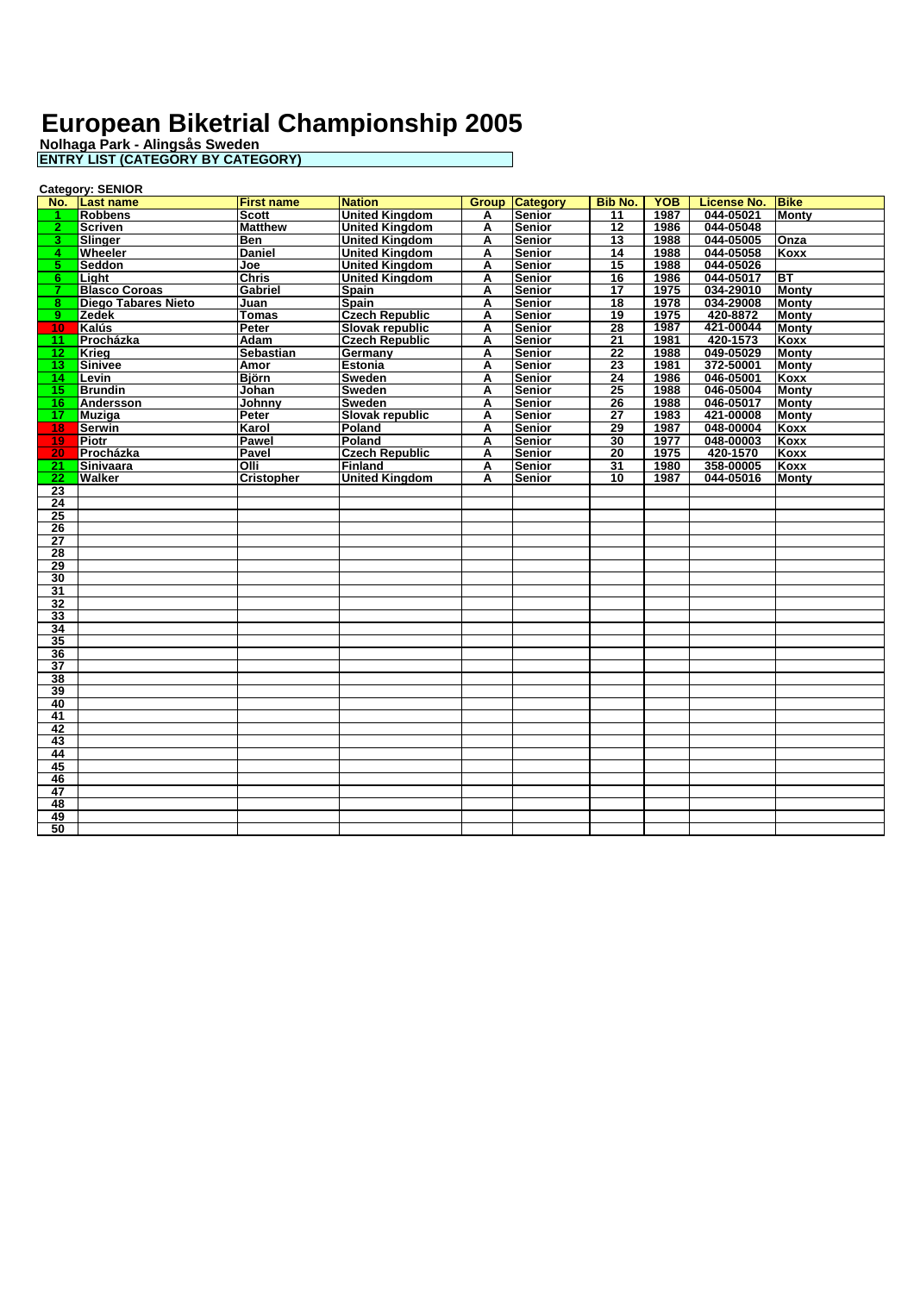| <b>Group Category</b><br><b>Bike</b><br>No. Last name<br><b>Nation</b><br><b>Bib No.</b><br><b>YOB</b><br><b>License No.</b><br><b>First name</b><br><b>Robbens</b><br><b>United Kingdom</b><br>Senior<br>$\overline{11}$<br>1987<br>044-05021<br><b>Monty</b><br>Scott<br>А<br><b>United Kingdom</b><br>$\overline{12}$<br>$\overline{2}$<br><b>Scriven</b><br><b>Matthew</b><br>A<br><b>Senior</b><br>1986<br>044-05048<br><b>United Kingdom</b><br>13<br>1988<br>044-05005<br>3.<br>Slinger<br>Ben<br>A<br>Senior<br>Onza<br><b>United Kingdom</b><br>044-05058<br>Wheeler<br><b>Daniel</b><br>Senior<br>14<br>1988<br>Koxx<br>A<br>4.<br><b>United Kingdom</b><br>044-05026<br>Seddon<br><b>Senior</b><br>15<br>1988<br>5.<br>Joe<br>A<br><b>BT</b><br>044-05017<br><b>Chris</b><br><b>United Kingdom</b><br><b>Senior</b><br>16<br>1986<br>lLiaht<br>A<br>6.<br><b>Blasco Coroas</b><br>034-29010<br><b>Monty</b><br>Gabriel<br><b>Senior</b><br>1975<br>7<br><b>Spain</b><br>17<br>A<br>034-29008<br><b>Diego Tabares Nieto</b><br>Senior<br>$\overline{18}$<br>1978<br><b>Monty</b><br>8.<br>Juan<br><b>Spain</b><br>A<br><b>Czech Republic</b><br>9<br><b>Zedek</b><br>Senior<br>19<br>1975<br>420-8872<br><b>Monty</b><br>Tomas<br>A<br>421-00044<br>1987<br>Kalús<br>Slovak republic<br><b>Senior</b><br>28<br><b>Monty</b><br>10 <sub>1</sub><br>Peter<br>A<br>Procházka<br>Adam<br><b>Czech Republic</b><br><b>Senior</b><br>21<br>1981<br>420-1573<br>Koxx<br>A<br>11<br><b>Sebastian</b><br>Senior<br>22<br>1988<br>049-05029<br>12 <sub>1</sub><br>Krieg<br>Germany<br><b>Monty</b><br>A<br>23<br>372-50001<br>Sinivee<br><b>Senior</b><br>1981<br>13 <sup>1</sup><br>Amor<br><b>Estonia</b><br>A<br>Montv<br>046-05001<br>14 <sup>1</sup><br>Levin<br><b>Björn</b><br><b>Sweden</b><br>Senior<br>24<br>1986<br>Koxx<br>A<br><b>Brundin</b><br>$\overline{25}$<br>046-05004<br>15 <sub>1</sub><br>Johan<br><b>Sweden</b><br>A<br><b>Senior</b><br>1988<br><b>Monty</b><br>046-05017<br>16.<br>Andersson<br>Johnny<br><b>Sweden</b><br>A<br>Senior<br>26<br>1988<br>Montv<br>421-00008<br>1983<br>17<br><b>Slovak republic</b><br>Senior<br>27<br><b>Muziga</b><br>Peter<br>A<br><b>Monty</b><br>29<br>048-00004<br>Poland<br><b>Senior</b><br>1987<br>Koxx<br>18<br>Serwin<br>Karol<br>A<br>19<br><b>Piotr</b><br><b>Pawel</b><br>Poland<br><b>Senior</b><br>30<br>1977<br>048-00003<br>Koxx<br>A<br><b>Czech Republic</b><br>420-1570<br>20<br>Procházka<br>Senior<br>20<br>1975<br>Pavel<br>Koxx<br>A<br>358-00005<br>21<br><b>Sinivaara</b><br>Olli<br><b>Finland</b><br>A<br><b>Senior</b><br>31<br>1980<br>Koxx<br>$\overline{22}$<br>Walker<br><b>Cristopher</b><br><b>United Kingdom</b><br>A<br><b>Senior</b><br>10<br>1987<br>044-05016<br><b>Monty</b><br>23<br>$\overline{24}$<br>25<br>26<br>$\overline{27}$<br>28<br>29<br>30<br>31<br>$\overline{32}$<br>33<br>34<br>35<br>$\overline{36}$<br>$\overline{37}$<br>38<br>39<br>40<br>41<br>42<br>43<br>44<br>45<br>46<br>47<br>48<br>49<br>50 | <b>Category: SENIOR</b> |  |  |  |  |  |  |  |  |  |
|--------------------------------------------------------------------------------------------------------------------------------------------------------------------------------------------------------------------------------------------------------------------------------------------------------------------------------------------------------------------------------------------------------------------------------------------------------------------------------------------------------------------------------------------------------------------------------------------------------------------------------------------------------------------------------------------------------------------------------------------------------------------------------------------------------------------------------------------------------------------------------------------------------------------------------------------------------------------------------------------------------------------------------------------------------------------------------------------------------------------------------------------------------------------------------------------------------------------------------------------------------------------------------------------------------------------------------------------------------------------------------------------------------------------------------------------------------------------------------------------------------------------------------------------------------------------------------------------------------------------------------------------------------------------------------------------------------------------------------------------------------------------------------------------------------------------------------------------------------------------------------------------------------------------------------------------------------------------------------------------------------------------------------------------------------------------------------------------------------------------------------------------------------------------------------------------------------------------------------------------------------------------------------------------------------------------------------------------------------------------------------------------------------------------------------------------------------------------------------------------------------------------------------------------------------------------------------------------------------------------------------------------------------------------------------------------------------------------------------------------------------------------------------------------------------------------------------------------------------------------------------------------------------------------------------------------------------------------------------------------------------------------------|-------------------------|--|--|--|--|--|--|--|--|--|
|                                                                                                                                                                                                                                                                                                                                                                                                                                                                                                                                                                                                                                                                                                                                                                                                                                                                                                                                                                                                                                                                                                                                                                                                                                                                                                                                                                                                                                                                                                                                                                                                                                                                                                                                                                                                                                                                                                                                                                                                                                                                                                                                                                                                                                                                                                                                                                                                                                                                                                                                                                                                                                                                                                                                                                                                                                                                                                                                                                                                                          |                         |  |  |  |  |  |  |  |  |  |
|                                                                                                                                                                                                                                                                                                                                                                                                                                                                                                                                                                                                                                                                                                                                                                                                                                                                                                                                                                                                                                                                                                                                                                                                                                                                                                                                                                                                                                                                                                                                                                                                                                                                                                                                                                                                                                                                                                                                                                                                                                                                                                                                                                                                                                                                                                                                                                                                                                                                                                                                                                                                                                                                                                                                                                                                                                                                                                                                                                                                                          |                         |  |  |  |  |  |  |  |  |  |
|                                                                                                                                                                                                                                                                                                                                                                                                                                                                                                                                                                                                                                                                                                                                                                                                                                                                                                                                                                                                                                                                                                                                                                                                                                                                                                                                                                                                                                                                                                                                                                                                                                                                                                                                                                                                                                                                                                                                                                                                                                                                                                                                                                                                                                                                                                                                                                                                                                                                                                                                                                                                                                                                                                                                                                                                                                                                                                                                                                                                                          |                         |  |  |  |  |  |  |  |  |  |
|                                                                                                                                                                                                                                                                                                                                                                                                                                                                                                                                                                                                                                                                                                                                                                                                                                                                                                                                                                                                                                                                                                                                                                                                                                                                                                                                                                                                                                                                                                                                                                                                                                                                                                                                                                                                                                                                                                                                                                                                                                                                                                                                                                                                                                                                                                                                                                                                                                                                                                                                                                                                                                                                                                                                                                                                                                                                                                                                                                                                                          |                         |  |  |  |  |  |  |  |  |  |
|                                                                                                                                                                                                                                                                                                                                                                                                                                                                                                                                                                                                                                                                                                                                                                                                                                                                                                                                                                                                                                                                                                                                                                                                                                                                                                                                                                                                                                                                                                                                                                                                                                                                                                                                                                                                                                                                                                                                                                                                                                                                                                                                                                                                                                                                                                                                                                                                                                                                                                                                                                                                                                                                                                                                                                                                                                                                                                                                                                                                                          |                         |  |  |  |  |  |  |  |  |  |
|                                                                                                                                                                                                                                                                                                                                                                                                                                                                                                                                                                                                                                                                                                                                                                                                                                                                                                                                                                                                                                                                                                                                                                                                                                                                                                                                                                                                                                                                                                                                                                                                                                                                                                                                                                                                                                                                                                                                                                                                                                                                                                                                                                                                                                                                                                                                                                                                                                                                                                                                                                                                                                                                                                                                                                                                                                                                                                                                                                                                                          |                         |  |  |  |  |  |  |  |  |  |
|                                                                                                                                                                                                                                                                                                                                                                                                                                                                                                                                                                                                                                                                                                                                                                                                                                                                                                                                                                                                                                                                                                                                                                                                                                                                                                                                                                                                                                                                                                                                                                                                                                                                                                                                                                                                                                                                                                                                                                                                                                                                                                                                                                                                                                                                                                                                                                                                                                                                                                                                                                                                                                                                                                                                                                                                                                                                                                                                                                                                                          |                         |  |  |  |  |  |  |  |  |  |
|                                                                                                                                                                                                                                                                                                                                                                                                                                                                                                                                                                                                                                                                                                                                                                                                                                                                                                                                                                                                                                                                                                                                                                                                                                                                                                                                                                                                                                                                                                                                                                                                                                                                                                                                                                                                                                                                                                                                                                                                                                                                                                                                                                                                                                                                                                                                                                                                                                                                                                                                                                                                                                                                                                                                                                                                                                                                                                                                                                                                                          |                         |  |  |  |  |  |  |  |  |  |
|                                                                                                                                                                                                                                                                                                                                                                                                                                                                                                                                                                                                                                                                                                                                                                                                                                                                                                                                                                                                                                                                                                                                                                                                                                                                                                                                                                                                                                                                                                                                                                                                                                                                                                                                                                                                                                                                                                                                                                                                                                                                                                                                                                                                                                                                                                                                                                                                                                                                                                                                                                                                                                                                                                                                                                                                                                                                                                                                                                                                                          |                         |  |  |  |  |  |  |  |  |  |
|                                                                                                                                                                                                                                                                                                                                                                                                                                                                                                                                                                                                                                                                                                                                                                                                                                                                                                                                                                                                                                                                                                                                                                                                                                                                                                                                                                                                                                                                                                                                                                                                                                                                                                                                                                                                                                                                                                                                                                                                                                                                                                                                                                                                                                                                                                                                                                                                                                                                                                                                                                                                                                                                                                                                                                                                                                                                                                                                                                                                                          |                         |  |  |  |  |  |  |  |  |  |
|                                                                                                                                                                                                                                                                                                                                                                                                                                                                                                                                                                                                                                                                                                                                                                                                                                                                                                                                                                                                                                                                                                                                                                                                                                                                                                                                                                                                                                                                                                                                                                                                                                                                                                                                                                                                                                                                                                                                                                                                                                                                                                                                                                                                                                                                                                                                                                                                                                                                                                                                                                                                                                                                                                                                                                                                                                                                                                                                                                                                                          |                         |  |  |  |  |  |  |  |  |  |
|                                                                                                                                                                                                                                                                                                                                                                                                                                                                                                                                                                                                                                                                                                                                                                                                                                                                                                                                                                                                                                                                                                                                                                                                                                                                                                                                                                                                                                                                                                                                                                                                                                                                                                                                                                                                                                                                                                                                                                                                                                                                                                                                                                                                                                                                                                                                                                                                                                                                                                                                                                                                                                                                                                                                                                                                                                                                                                                                                                                                                          |                         |  |  |  |  |  |  |  |  |  |
|                                                                                                                                                                                                                                                                                                                                                                                                                                                                                                                                                                                                                                                                                                                                                                                                                                                                                                                                                                                                                                                                                                                                                                                                                                                                                                                                                                                                                                                                                                                                                                                                                                                                                                                                                                                                                                                                                                                                                                                                                                                                                                                                                                                                                                                                                                                                                                                                                                                                                                                                                                                                                                                                                                                                                                                                                                                                                                                                                                                                                          |                         |  |  |  |  |  |  |  |  |  |
|                                                                                                                                                                                                                                                                                                                                                                                                                                                                                                                                                                                                                                                                                                                                                                                                                                                                                                                                                                                                                                                                                                                                                                                                                                                                                                                                                                                                                                                                                                                                                                                                                                                                                                                                                                                                                                                                                                                                                                                                                                                                                                                                                                                                                                                                                                                                                                                                                                                                                                                                                                                                                                                                                                                                                                                                                                                                                                                                                                                                                          |                         |  |  |  |  |  |  |  |  |  |
|                                                                                                                                                                                                                                                                                                                                                                                                                                                                                                                                                                                                                                                                                                                                                                                                                                                                                                                                                                                                                                                                                                                                                                                                                                                                                                                                                                                                                                                                                                                                                                                                                                                                                                                                                                                                                                                                                                                                                                                                                                                                                                                                                                                                                                                                                                                                                                                                                                                                                                                                                                                                                                                                                                                                                                                                                                                                                                                                                                                                                          |                         |  |  |  |  |  |  |  |  |  |
|                                                                                                                                                                                                                                                                                                                                                                                                                                                                                                                                                                                                                                                                                                                                                                                                                                                                                                                                                                                                                                                                                                                                                                                                                                                                                                                                                                                                                                                                                                                                                                                                                                                                                                                                                                                                                                                                                                                                                                                                                                                                                                                                                                                                                                                                                                                                                                                                                                                                                                                                                                                                                                                                                                                                                                                                                                                                                                                                                                                                                          |                         |  |  |  |  |  |  |  |  |  |
|                                                                                                                                                                                                                                                                                                                                                                                                                                                                                                                                                                                                                                                                                                                                                                                                                                                                                                                                                                                                                                                                                                                                                                                                                                                                                                                                                                                                                                                                                                                                                                                                                                                                                                                                                                                                                                                                                                                                                                                                                                                                                                                                                                                                                                                                                                                                                                                                                                                                                                                                                                                                                                                                                                                                                                                                                                                                                                                                                                                                                          |                         |  |  |  |  |  |  |  |  |  |
|                                                                                                                                                                                                                                                                                                                                                                                                                                                                                                                                                                                                                                                                                                                                                                                                                                                                                                                                                                                                                                                                                                                                                                                                                                                                                                                                                                                                                                                                                                                                                                                                                                                                                                                                                                                                                                                                                                                                                                                                                                                                                                                                                                                                                                                                                                                                                                                                                                                                                                                                                                                                                                                                                                                                                                                                                                                                                                                                                                                                                          |                         |  |  |  |  |  |  |  |  |  |
|                                                                                                                                                                                                                                                                                                                                                                                                                                                                                                                                                                                                                                                                                                                                                                                                                                                                                                                                                                                                                                                                                                                                                                                                                                                                                                                                                                                                                                                                                                                                                                                                                                                                                                                                                                                                                                                                                                                                                                                                                                                                                                                                                                                                                                                                                                                                                                                                                                                                                                                                                                                                                                                                                                                                                                                                                                                                                                                                                                                                                          |                         |  |  |  |  |  |  |  |  |  |
|                                                                                                                                                                                                                                                                                                                                                                                                                                                                                                                                                                                                                                                                                                                                                                                                                                                                                                                                                                                                                                                                                                                                                                                                                                                                                                                                                                                                                                                                                                                                                                                                                                                                                                                                                                                                                                                                                                                                                                                                                                                                                                                                                                                                                                                                                                                                                                                                                                                                                                                                                                                                                                                                                                                                                                                                                                                                                                                                                                                                                          |                         |  |  |  |  |  |  |  |  |  |
|                                                                                                                                                                                                                                                                                                                                                                                                                                                                                                                                                                                                                                                                                                                                                                                                                                                                                                                                                                                                                                                                                                                                                                                                                                                                                                                                                                                                                                                                                                                                                                                                                                                                                                                                                                                                                                                                                                                                                                                                                                                                                                                                                                                                                                                                                                                                                                                                                                                                                                                                                                                                                                                                                                                                                                                                                                                                                                                                                                                                                          |                         |  |  |  |  |  |  |  |  |  |
|                                                                                                                                                                                                                                                                                                                                                                                                                                                                                                                                                                                                                                                                                                                                                                                                                                                                                                                                                                                                                                                                                                                                                                                                                                                                                                                                                                                                                                                                                                                                                                                                                                                                                                                                                                                                                                                                                                                                                                                                                                                                                                                                                                                                                                                                                                                                                                                                                                                                                                                                                                                                                                                                                                                                                                                                                                                                                                                                                                                                                          |                         |  |  |  |  |  |  |  |  |  |
|                                                                                                                                                                                                                                                                                                                                                                                                                                                                                                                                                                                                                                                                                                                                                                                                                                                                                                                                                                                                                                                                                                                                                                                                                                                                                                                                                                                                                                                                                                                                                                                                                                                                                                                                                                                                                                                                                                                                                                                                                                                                                                                                                                                                                                                                                                                                                                                                                                                                                                                                                                                                                                                                                                                                                                                                                                                                                                                                                                                                                          |                         |  |  |  |  |  |  |  |  |  |
|                                                                                                                                                                                                                                                                                                                                                                                                                                                                                                                                                                                                                                                                                                                                                                                                                                                                                                                                                                                                                                                                                                                                                                                                                                                                                                                                                                                                                                                                                                                                                                                                                                                                                                                                                                                                                                                                                                                                                                                                                                                                                                                                                                                                                                                                                                                                                                                                                                                                                                                                                                                                                                                                                                                                                                                                                                                                                                                                                                                                                          |                         |  |  |  |  |  |  |  |  |  |
|                                                                                                                                                                                                                                                                                                                                                                                                                                                                                                                                                                                                                                                                                                                                                                                                                                                                                                                                                                                                                                                                                                                                                                                                                                                                                                                                                                                                                                                                                                                                                                                                                                                                                                                                                                                                                                                                                                                                                                                                                                                                                                                                                                                                                                                                                                                                                                                                                                                                                                                                                                                                                                                                                                                                                                                                                                                                                                                                                                                                                          |                         |  |  |  |  |  |  |  |  |  |
|                                                                                                                                                                                                                                                                                                                                                                                                                                                                                                                                                                                                                                                                                                                                                                                                                                                                                                                                                                                                                                                                                                                                                                                                                                                                                                                                                                                                                                                                                                                                                                                                                                                                                                                                                                                                                                                                                                                                                                                                                                                                                                                                                                                                                                                                                                                                                                                                                                                                                                                                                                                                                                                                                                                                                                                                                                                                                                                                                                                                                          |                         |  |  |  |  |  |  |  |  |  |
|                                                                                                                                                                                                                                                                                                                                                                                                                                                                                                                                                                                                                                                                                                                                                                                                                                                                                                                                                                                                                                                                                                                                                                                                                                                                                                                                                                                                                                                                                                                                                                                                                                                                                                                                                                                                                                                                                                                                                                                                                                                                                                                                                                                                                                                                                                                                                                                                                                                                                                                                                                                                                                                                                                                                                                                                                                                                                                                                                                                                                          |                         |  |  |  |  |  |  |  |  |  |
|                                                                                                                                                                                                                                                                                                                                                                                                                                                                                                                                                                                                                                                                                                                                                                                                                                                                                                                                                                                                                                                                                                                                                                                                                                                                                                                                                                                                                                                                                                                                                                                                                                                                                                                                                                                                                                                                                                                                                                                                                                                                                                                                                                                                                                                                                                                                                                                                                                                                                                                                                                                                                                                                                                                                                                                                                                                                                                                                                                                                                          |                         |  |  |  |  |  |  |  |  |  |
|                                                                                                                                                                                                                                                                                                                                                                                                                                                                                                                                                                                                                                                                                                                                                                                                                                                                                                                                                                                                                                                                                                                                                                                                                                                                                                                                                                                                                                                                                                                                                                                                                                                                                                                                                                                                                                                                                                                                                                                                                                                                                                                                                                                                                                                                                                                                                                                                                                                                                                                                                                                                                                                                                                                                                                                                                                                                                                                                                                                                                          |                         |  |  |  |  |  |  |  |  |  |
|                                                                                                                                                                                                                                                                                                                                                                                                                                                                                                                                                                                                                                                                                                                                                                                                                                                                                                                                                                                                                                                                                                                                                                                                                                                                                                                                                                                                                                                                                                                                                                                                                                                                                                                                                                                                                                                                                                                                                                                                                                                                                                                                                                                                                                                                                                                                                                                                                                                                                                                                                                                                                                                                                                                                                                                                                                                                                                                                                                                                                          |                         |  |  |  |  |  |  |  |  |  |
|                                                                                                                                                                                                                                                                                                                                                                                                                                                                                                                                                                                                                                                                                                                                                                                                                                                                                                                                                                                                                                                                                                                                                                                                                                                                                                                                                                                                                                                                                                                                                                                                                                                                                                                                                                                                                                                                                                                                                                                                                                                                                                                                                                                                                                                                                                                                                                                                                                                                                                                                                                                                                                                                                                                                                                                                                                                                                                                                                                                                                          |                         |  |  |  |  |  |  |  |  |  |
|                                                                                                                                                                                                                                                                                                                                                                                                                                                                                                                                                                                                                                                                                                                                                                                                                                                                                                                                                                                                                                                                                                                                                                                                                                                                                                                                                                                                                                                                                                                                                                                                                                                                                                                                                                                                                                                                                                                                                                                                                                                                                                                                                                                                                                                                                                                                                                                                                                                                                                                                                                                                                                                                                                                                                                                                                                                                                                                                                                                                                          |                         |  |  |  |  |  |  |  |  |  |
|                                                                                                                                                                                                                                                                                                                                                                                                                                                                                                                                                                                                                                                                                                                                                                                                                                                                                                                                                                                                                                                                                                                                                                                                                                                                                                                                                                                                                                                                                                                                                                                                                                                                                                                                                                                                                                                                                                                                                                                                                                                                                                                                                                                                                                                                                                                                                                                                                                                                                                                                                                                                                                                                                                                                                                                                                                                                                                                                                                                                                          |                         |  |  |  |  |  |  |  |  |  |
|                                                                                                                                                                                                                                                                                                                                                                                                                                                                                                                                                                                                                                                                                                                                                                                                                                                                                                                                                                                                                                                                                                                                                                                                                                                                                                                                                                                                                                                                                                                                                                                                                                                                                                                                                                                                                                                                                                                                                                                                                                                                                                                                                                                                                                                                                                                                                                                                                                                                                                                                                                                                                                                                                                                                                                                                                                                                                                                                                                                                                          |                         |  |  |  |  |  |  |  |  |  |
|                                                                                                                                                                                                                                                                                                                                                                                                                                                                                                                                                                                                                                                                                                                                                                                                                                                                                                                                                                                                                                                                                                                                                                                                                                                                                                                                                                                                                                                                                                                                                                                                                                                                                                                                                                                                                                                                                                                                                                                                                                                                                                                                                                                                                                                                                                                                                                                                                                                                                                                                                                                                                                                                                                                                                                                                                                                                                                                                                                                                                          |                         |  |  |  |  |  |  |  |  |  |
|                                                                                                                                                                                                                                                                                                                                                                                                                                                                                                                                                                                                                                                                                                                                                                                                                                                                                                                                                                                                                                                                                                                                                                                                                                                                                                                                                                                                                                                                                                                                                                                                                                                                                                                                                                                                                                                                                                                                                                                                                                                                                                                                                                                                                                                                                                                                                                                                                                                                                                                                                                                                                                                                                                                                                                                                                                                                                                                                                                                                                          |                         |  |  |  |  |  |  |  |  |  |
|                                                                                                                                                                                                                                                                                                                                                                                                                                                                                                                                                                                                                                                                                                                                                                                                                                                                                                                                                                                                                                                                                                                                                                                                                                                                                                                                                                                                                                                                                                                                                                                                                                                                                                                                                                                                                                                                                                                                                                                                                                                                                                                                                                                                                                                                                                                                                                                                                                                                                                                                                                                                                                                                                                                                                                                                                                                                                                                                                                                                                          |                         |  |  |  |  |  |  |  |  |  |
|                                                                                                                                                                                                                                                                                                                                                                                                                                                                                                                                                                                                                                                                                                                                                                                                                                                                                                                                                                                                                                                                                                                                                                                                                                                                                                                                                                                                                                                                                                                                                                                                                                                                                                                                                                                                                                                                                                                                                                                                                                                                                                                                                                                                                                                                                                                                                                                                                                                                                                                                                                                                                                                                                                                                                                                                                                                                                                                                                                                                                          |                         |  |  |  |  |  |  |  |  |  |
|                                                                                                                                                                                                                                                                                                                                                                                                                                                                                                                                                                                                                                                                                                                                                                                                                                                                                                                                                                                                                                                                                                                                                                                                                                                                                                                                                                                                                                                                                                                                                                                                                                                                                                                                                                                                                                                                                                                                                                                                                                                                                                                                                                                                                                                                                                                                                                                                                                                                                                                                                                                                                                                                                                                                                                                                                                                                                                                                                                                                                          |                         |  |  |  |  |  |  |  |  |  |
|                                                                                                                                                                                                                                                                                                                                                                                                                                                                                                                                                                                                                                                                                                                                                                                                                                                                                                                                                                                                                                                                                                                                                                                                                                                                                                                                                                                                                                                                                                                                                                                                                                                                                                                                                                                                                                                                                                                                                                                                                                                                                                                                                                                                                                                                                                                                                                                                                                                                                                                                                                                                                                                                                                                                                                                                                                                                                                                                                                                                                          |                         |  |  |  |  |  |  |  |  |  |
|                                                                                                                                                                                                                                                                                                                                                                                                                                                                                                                                                                                                                                                                                                                                                                                                                                                                                                                                                                                                                                                                                                                                                                                                                                                                                                                                                                                                                                                                                                                                                                                                                                                                                                                                                                                                                                                                                                                                                                                                                                                                                                                                                                                                                                                                                                                                                                                                                                                                                                                                                                                                                                                                                                                                                                                                                                                                                                                                                                                                                          |                         |  |  |  |  |  |  |  |  |  |
|                                                                                                                                                                                                                                                                                                                                                                                                                                                                                                                                                                                                                                                                                                                                                                                                                                                                                                                                                                                                                                                                                                                                                                                                                                                                                                                                                                                                                                                                                                                                                                                                                                                                                                                                                                                                                                                                                                                                                                                                                                                                                                                                                                                                                                                                                                                                                                                                                                                                                                                                                                                                                                                                                                                                                                                                                                                                                                                                                                                                                          |                         |  |  |  |  |  |  |  |  |  |
|                                                                                                                                                                                                                                                                                                                                                                                                                                                                                                                                                                                                                                                                                                                                                                                                                                                                                                                                                                                                                                                                                                                                                                                                                                                                                                                                                                                                                                                                                                                                                                                                                                                                                                                                                                                                                                                                                                                                                                                                                                                                                                                                                                                                                                                                                                                                                                                                                                                                                                                                                                                                                                                                                                                                                                                                                                                                                                                                                                                                                          |                         |  |  |  |  |  |  |  |  |  |
|                                                                                                                                                                                                                                                                                                                                                                                                                                                                                                                                                                                                                                                                                                                                                                                                                                                                                                                                                                                                                                                                                                                                                                                                                                                                                                                                                                                                                                                                                                                                                                                                                                                                                                                                                                                                                                                                                                                                                                                                                                                                                                                                                                                                                                                                                                                                                                                                                                                                                                                                                                                                                                                                                                                                                                                                                                                                                                                                                                                                                          |                         |  |  |  |  |  |  |  |  |  |
|                                                                                                                                                                                                                                                                                                                                                                                                                                                                                                                                                                                                                                                                                                                                                                                                                                                                                                                                                                                                                                                                                                                                                                                                                                                                                                                                                                                                                                                                                                                                                                                                                                                                                                                                                                                                                                                                                                                                                                                                                                                                                                                                                                                                                                                                                                                                                                                                                                                                                                                                                                                                                                                                                                                                                                                                                                                                                                                                                                                                                          |                         |  |  |  |  |  |  |  |  |  |
|                                                                                                                                                                                                                                                                                                                                                                                                                                                                                                                                                                                                                                                                                                                                                                                                                                                                                                                                                                                                                                                                                                                                                                                                                                                                                                                                                                                                                                                                                                                                                                                                                                                                                                                                                                                                                                                                                                                                                                                                                                                                                                                                                                                                                                                                                                                                                                                                                                                                                                                                                                                                                                                                                                                                                                                                                                                                                                                                                                                                                          |                         |  |  |  |  |  |  |  |  |  |
|                                                                                                                                                                                                                                                                                                                                                                                                                                                                                                                                                                                                                                                                                                                                                                                                                                                                                                                                                                                                                                                                                                                                                                                                                                                                                                                                                                                                                                                                                                                                                                                                                                                                                                                                                                                                                                                                                                                                                                                                                                                                                                                                                                                                                                                                                                                                                                                                                                                                                                                                                                                                                                                                                                                                                                                                                                                                                                                                                                                                                          |                         |  |  |  |  |  |  |  |  |  |
|                                                                                                                                                                                                                                                                                                                                                                                                                                                                                                                                                                                                                                                                                                                                                                                                                                                                                                                                                                                                                                                                                                                                                                                                                                                                                                                                                                                                                                                                                                                                                                                                                                                                                                                                                                                                                                                                                                                                                                                                                                                                                                                                                                                                                                                                                                                                                                                                                                                                                                                                                                                                                                                                                                                                                                                                                                                                                                                                                                                                                          |                         |  |  |  |  |  |  |  |  |  |
|                                                                                                                                                                                                                                                                                                                                                                                                                                                                                                                                                                                                                                                                                                                                                                                                                                                                                                                                                                                                                                                                                                                                                                                                                                                                                                                                                                                                                                                                                                                                                                                                                                                                                                                                                                                                                                                                                                                                                                                                                                                                                                                                                                                                                                                                                                                                                                                                                                                                                                                                                                                                                                                                                                                                                                                                                                                                                                                                                                                                                          |                         |  |  |  |  |  |  |  |  |  |
|                                                                                                                                                                                                                                                                                                                                                                                                                                                                                                                                                                                                                                                                                                                                                                                                                                                                                                                                                                                                                                                                                                                                                                                                                                                                                                                                                                                                                                                                                                                                                                                                                                                                                                                                                                                                                                                                                                                                                                                                                                                                                                                                                                                                                                                                                                                                                                                                                                                                                                                                                                                                                                                                                                                                                                                                                                                                                                                                                                                                                          |                         |  |  |  |  |  |  |  |  |  |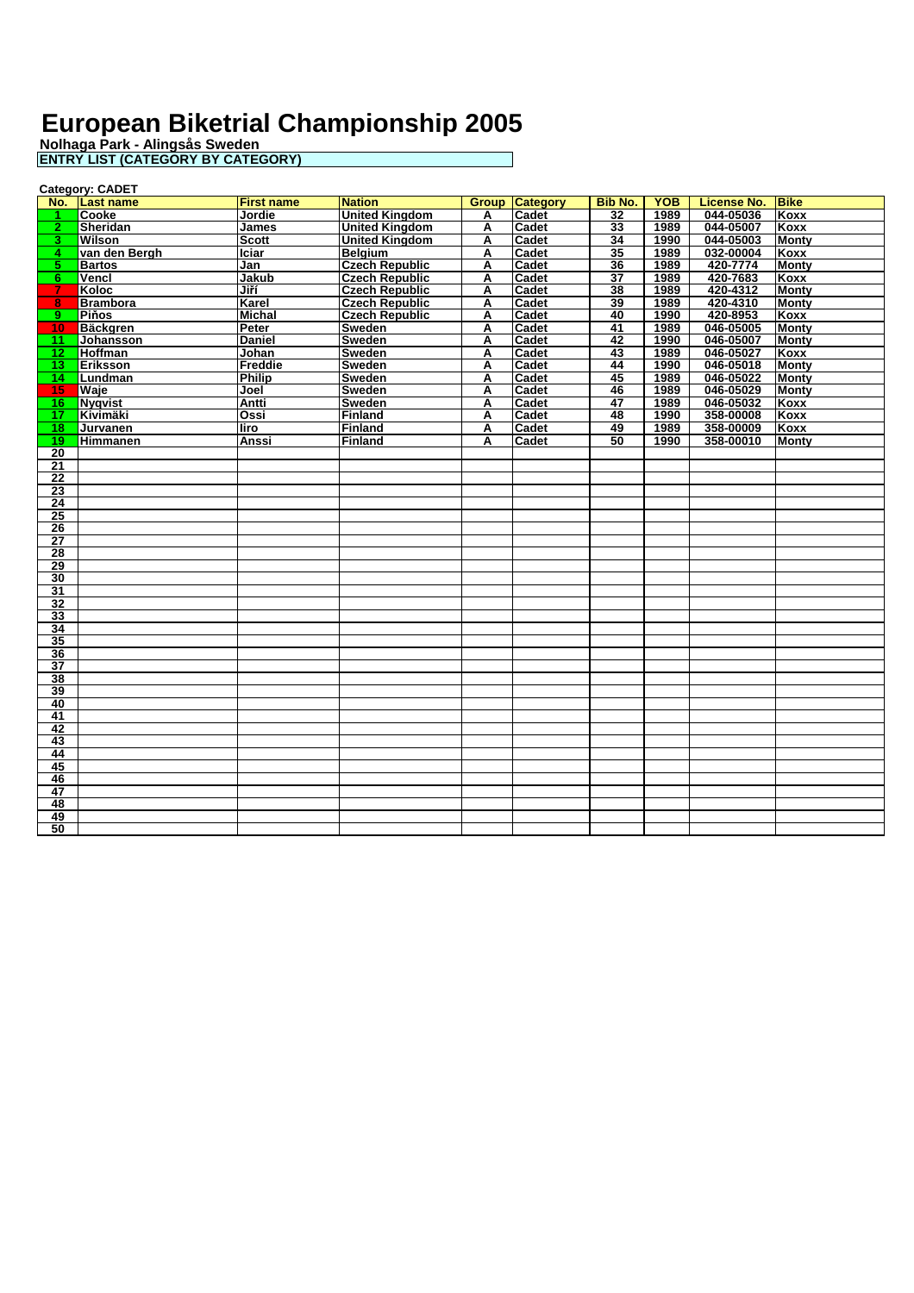|                 | <b>Category: CADET</b> |                   |                       |              |                 |                 |            |                    |              |  |
|-----------------|------------------------|-------------------|-----------------------|--------------|-----------------|-----------------|------------|--------------------|--------------|--|
| No.             | <b>Last name</b>       | <b>First name</b> | <b>Nation</b>         | <b>Group</b> | <b>Category</b> | <b>Bib No.</b>  | <b>YOB</b> | <b>License No.</b> | <b>Bike</b>  |  |
|                 | Cooke                  | Jordie            | <b>United Kinadom</b> | А            | Cadet           | 32              | 1989       | 044-05036          | Koxx         |  |
| $\mathbf{2}$    | <b>Sheridan</b>        | James             | <b>United Kinadom</b> | A            | Cadet           | 33              | 1989       | 044-05007          | <b>Koxx</b>  |  |
| 3.              | <b>Wilson</b>          | <b>Scott</b>      | <b>United Kingdom</b> | A            | Cadet           | 34              | 1990       | 044-05003          | <b>Monty</b> |  |
| 4               | van den Bergh          | <b>Iciar</b>      | <b>Belaium</b>        | A            | Cadet           | 35              | 1989       | 032-00004          | <b>Koxx</b>  |  |
| 5.              | <b>Bartos</b>          | Jan               | <b>Czech Republic</b> | А            | Cadet           | 36              | 1989       | 420-7774           | <b>Monty</b> |  |
| 6.              | Vencl                  | Jakub             | <b>Czech Republic</b> | А            | Cadet           | $\overline{37}$ | 1989       | 420-7683           | Koxx         |  |
|                 | Koloc                  | Jiří              | <b>Czech Republic</b> | A            | Cadet           | 38              | 1989       | 420-4312           | <b>Monty</b> |  |
| 8               | <b>Brambora</b>        | Karel             | <b>Czech Republic</b> | A            | Cadet           | 39              | 1989       | 420-4310           | Montv        |  |
| 9.              | Piňos                  | <b>Michal</b>     | <b>Czech Republic</b> | A            | Cadet           | 40              | 1990       | 420-8953           | Koxx         |  |
| 10 <sub>1</sub> | <b>Bäckgren</b>        | <b>Peter</b>      | <b>Sweden</b>         | А            | Cadet           | 41              | 1989       | 046-05005          | <b>Monty</b> |  |
| 11.             | <b>Johansson</b>       | Daniel            | Sweden                | А            | Cadet           | 42              | 1990       | 046-05007          | <b>Monty</b> |  |
| 12 <sub>1</sub> | <b>Hoffman</b>         | Johan             | <b>Sweden</b>         | А            | Cadet           | 43              | 1989       | 046-05027          | Koxx         |  |
| 13 <sup>°</sup> | Eriksson               | Freddie           | Sweden                | Α            | Cadet           | 44              | 1990       | 046-05018          | <b>Monty</b> |  |
| 14              | Lundman                | <b>Philip</b>     | Sweden                | A            | <b>Cadet</b>    | 45              | 1989       | 046-05022          | Monty        |  |
| $15 -$          | Waje                   | Joel              | Sweden                | A            | Cadet           | 46              | 1989       | 046-05029          | <b>Monty</b> |  |
| 16 <sup>1</sup> | Nyqvist                | Antti             | Sweden                | Α            | Cadet           | 47              | 1989       | 046-05032          | Koxx         |  |
| 17              | Kivimäki               | Ossi              | Finland               | Α            | Cadet           | 48              | 1990       | 358-00008          | <b>Koxx</b>  |  |
| 18              | Jurvanen               | liro              | Finland               | А            | Cadet           | 49              | 1989       | 358-00009          | Koxx         |  |
| 19              | <b>Himmanen</b>        | Anssi             | <b>Finland</b>        | А            | Cadet           | 50              | 1990       | 358-00010          | <b>Monty</b> |  |
| 20              |                        |                   |                       |              |                 |                 |            |                    |              |  |
| 21              |                        |                   |                       |              |                 |                 |            |                    |              |  |
| $\overline{22}$ |                        |                   |                       |              |                 |                 |            |                    |              |  |
| $\overline{23}$ |                        |                   |                       |              |                 |                 |            |                    |              |  |
| 24              |                        |                   |                       |              |                 |                 |            |                    |              |  |
| 25              |                        |                   |                       |              |                 |                 |            |                    |              |  |
| 26              |                        |                   |                       |              |                 |                 |            |                    |              |  |
| $\overline{27}$ |                        |                   |                       |              |                 |                 |            |                    |              |  |
| 28              |                        |                   |                       |              |                 |                 |            |                    |              |  |
| 29              |                        |                   |                       |              |                 |                 |            |                    |              |  |
| 30              |                        |                   |                       |              |                 |                 |            |                    |              |  |
| 31              |                        |                   |                       |              |                 |                 |            |                    |              |  |
| $\overline{32}$ |                        |                   |                       |              |                 |                 |            |                    |              |  |
| 33              |                        |                   |                       |              |                 |                 |            |                    |              |  |
| 34              |                        |                   |                       |              |                 |                 |            |                    |              |  |
| 35              |                        |                   |                       |              |                 |                 |            |                    |              |  |
| 36              |                        |                   |                       |              |                 |                 |            |                    |              |  |
| $\overline{37}$ |                        |                   |                       |              |                 |                 |            |                    |              |  |
| 38              |                        |                   |                       |              |                 |                 |            |                    |              |  |
| 39              |                        |                   |                       |              |                 |                 |            |                    |              |  |
| 40              |                        |                   |                       |              |                 |                 |            |                    |              |  |
| 41              |                        |                   |                       |              |                 |                 |            |                    |              |  |
| 42              |                        |                   |                       |              |                 |                 |            |                    |              |  |
| 43              |                        |                   |                       |              |                 |                 |            |                    |              |  |
| 44              |                        |                   |                       |              |                 |                 |            |                    |              |  |
| 45<br>46        |                        |                   |                       |              |                 |                 |            |                    |              |  |
| 47              |                        |                   |                       |              |                 |                 |            |                    |              |  |
| 48              |                        |                   |                       |              |                 |                 |            |                    |              |  |
| 49              |                        |                   |                       |              |                 |                 |            |                    |              |  |
| 50              |                        |                   |                       |              |                 |                 |            |                    |              |  |
|                 |                        |                   |                       |              |                 |                 |            |                    |              |  |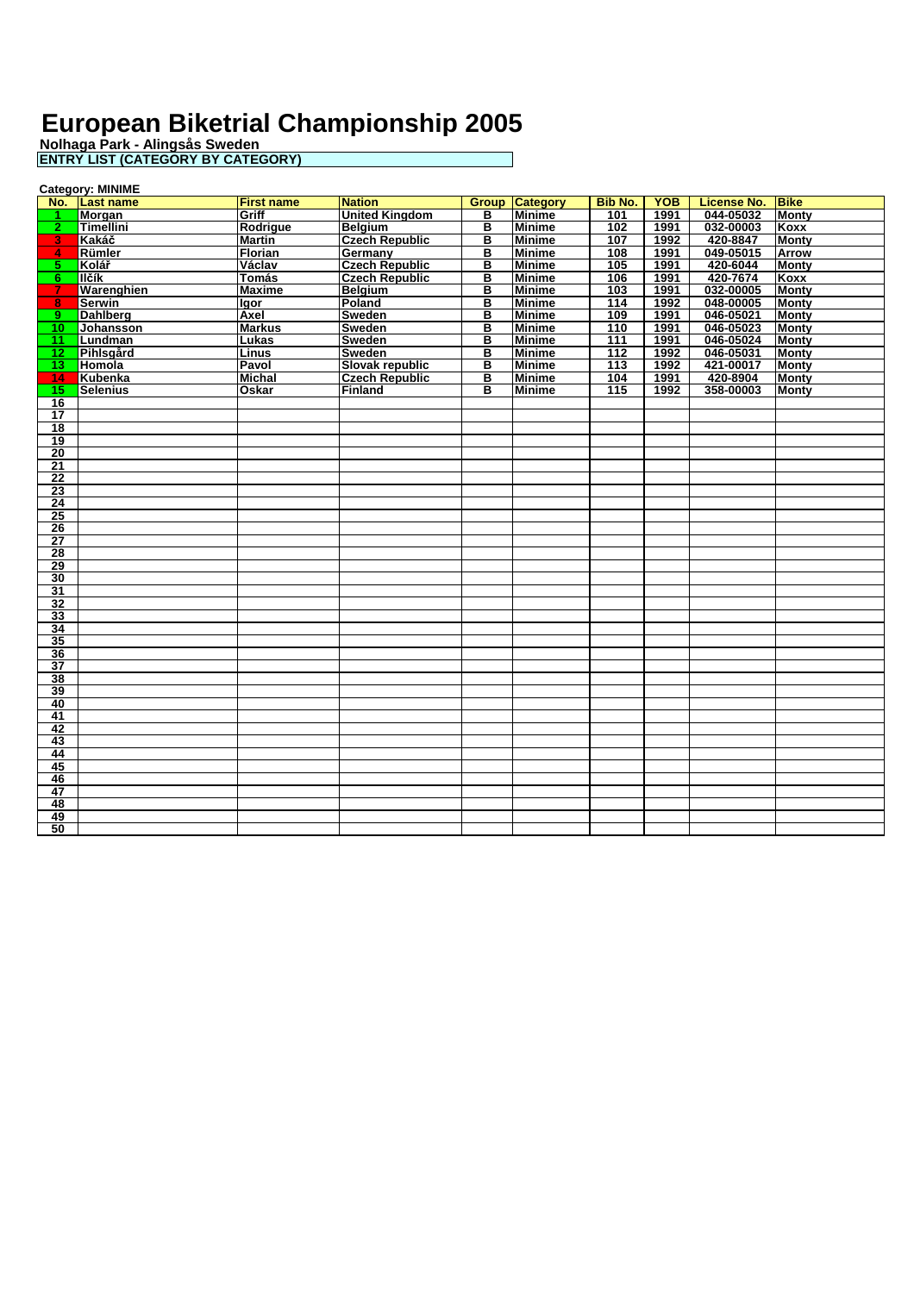|                 | <b>Category: MINIME</b> |                   |                       |   |                       |                |            |                    |              |
|-----------------|-------------------------|-------------------|-----------------------|---|-----------------------|----------------|------------|--------------------|--------------|
|                 | No. Last name           | <b>First name</b> | <b>Nation</b>         |   | <b>Group Category</b> | <b>Bib No.</b> | <b>YOB</b> | <b>License No.</b> | <b>Bike</b>  |
|                 | <b>Morgan</b>           | Griff             | <b>United Kingdom</b> | в | <b>Minime</b>         | 101            | 1991       | 044-05032          | <b>Monty</b> |
| 2 <sup>1</sup>  | <b>Timellini</b>        | Rodrigue          | <b>Belaium</b>        | в | <b>Minime</b>         | 102            | 1991       | 032-00003          | Koxx         |
| 3.              | Kakáč                   | <b>Martin</b>     | <b>Czech Republic</b> | в | <b>Minime</b>         | 107            | 1992       | 420-8847           | <b>Monty</b> |
| $\overline{4}$  | Rümler                  | Florian           | Germany               | в | <b>Minime</b>         | 108            | 1991       | 049-05015          | Arrow        |
| 5.              | Kolář                   | Václav            | <b>Czech Republic</b> | в | <b>Minime</b>         | 105            | 1991       | 420-6044           | <b>Monty</b> |
| 6.              | llčík                   | <b>Tomás</b>      | <b>Czech Republic</b> | в | <b>Minime</b>         | 106            | 1991       | 420-7674           | Koxx         |
| 7.              | Warenghien              | <b>Maxime</b>     | <b>Belgium</b>        | в | <b>Minime</b>         | 103            | 1991       | 032-00005          | <b>Monty</b> |
| 8               | <b>Serwin</b>           | <b>Igor</b>       | Poland                | в | <b>Minime</b>         | 114            | 1992       | 048-00005          | <b>Monty</b> |
| 9.              | <b>Dahlberg</b>         | Axel              | <b>Sweden</b>         | в | <b>Minime</b>         | 109            | 1991       | 046-05021          | <b>Monty</b> |
| $10-1$          | Johansson               | <b>Markus</b>     | Sweden                | в | <b>Minime</b>         | 110            | 1991       | 046-05023          | <b>Monty</b> |
| 11.             | Lundman                 | Lukas             | <b>Sweden</b>         | в | <b>Minime</b>         | 111            | 1991       | 046-05024          | <b>Monty</b> |
| 12 <sub>1</sub> | Pihlsgård               | Linus             | <b>Sweden</b>         | в | <b>Minime</b>         | 112            | 1992       | 046-05031          | <b>Monty</b> |
| 13 <sup>°</sup> | Homola                  | Pavol             | Slovak republic       | в | <b>Minime</b>         | 113            | 1992       | 421-00017          | Monty        |
| 14              | Kubenka                 | <b>Michal</b>     | <b>Czech Republic</b> | в | <b>Minime</b>         | 104            | 1991       | 420-8904           | Monty        |
| 15              | <b>Selenius</b>         | <b>Oskar</b>      | Finland               | в | <b>Minime</b>         | 115            | 1992       | 358-00003          | <b>Monty</b> |
| 16              |                         |                   |                       |   |                       |                |            |                    |              |
| $\overline{17}$ |                         |                   |                       |   |                       |                |            |                    |              |
| 18              |                         |                   |                       |   |                       |                |            |                    |              |
| 19              |                         |                   |                       |   |                       |                |            |                    |              |
| 20              |                         |                   |                       |   |                       |                |            |                    |              |
| 21              |                         |                   |                       |   |                       |                |            |                    |              |
| $\overline{22}$ |                         |                   |                       |   |                       |                |            |                    |              |
| 23              |                         |                   |                       |   |                       |                |            |                    |              |
| $\overline{24}$ |                         |                   |                       |   |                       |                |            |                    |              |
| 25              |                         |                   |                       |   |                       |                |            |                    |              |
| 26              |                         |                   |                       |   |                       |                |            |                    |              |
| $\overline{27}$ |                         |                   |                       |   |                       |                |            |                    |              |
| $\overline{28}$ |                         |                   |                       |   |                       |                |            |                    |              |
| 29              |                         |                   |                       |   |                       |                |            |                    |              |
| 30              |                         |                   |                       |   |                       |                |            |                    |              |
| 31              |                         |                   |                       |   |                       |                |            |                    |              |
| 32              |                         |                   |                       |   |                       |                |            |                    |              |
| 33              |                         |                   |                       |   |                       |                |            |                    |              |
| 34              |                         |                   |                       |   |                       |                |            |                    |              |
| 35              |                         |                   |                       |   |                       |                |            |                    |              |
| 36              |                         |                   |                       |   |                       |                |            |                    |              |
| $\overline{37}$ |                         |                   |                       |   |                       |                |            |                    |              |
| 38              |                         |                   |                       |   |                       |                |            |                    |              |
| 39              |                         |                   |                       |   |                       |                |            |                    |              |
| 40              |                         |                   |                       |   |                       |                |            |                    |              |
| 41              |                         |                   |                       |   |                       |                |            |                    |              |
| 42              |                         |                   |                       |   |                       |                |            |                    |              |
| 43              |                         |                   |                       |   |                       |                |            |                    |              |
| 44              |                         |                   |                       |   |                       |                |            |                    |              |
| 45              |                         |                   |                       |   |                       |                |            |                    |              |
| 46              |                         |                   |                       |   |                       |                |            |                    |              |
| 47              |                         |                   |                       |   |                       |                |            |                    |              |
| 48              |                         |                   |                       |   |                       |                |            |                    |              |
| 49              |                         |                   |                       |   |                       |                |            |                    |              |
| 50              |                         |                   |                       |   |                       |                |            |                    |              |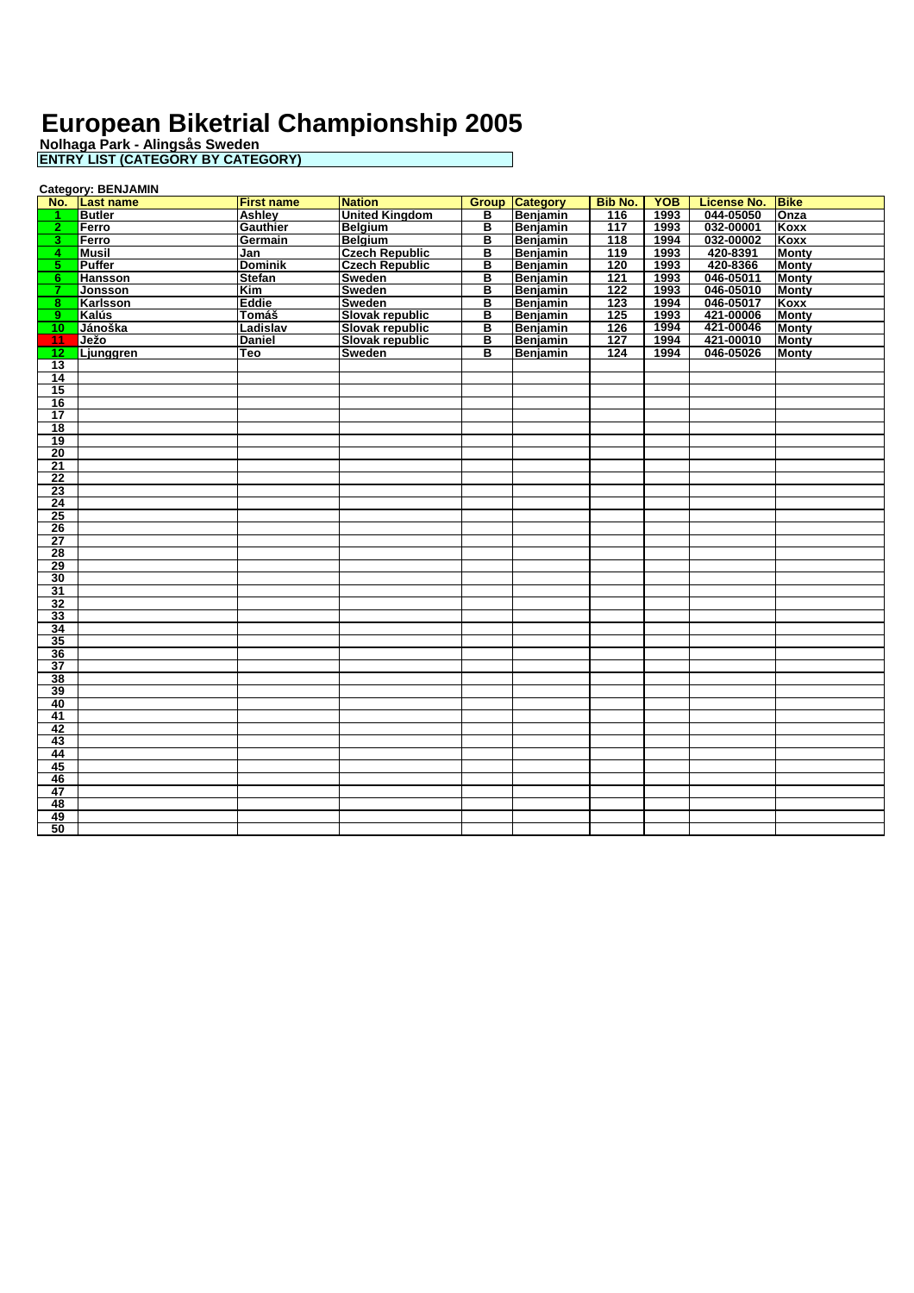**Nolhaga Park - Alingsås Sweden**

| <b>ENTRY LIST (CATEGORY BY CATEGORY)</b> |  |
|------------------------------------------|--|
|                                          |  |

|                 | <b>Category: BENJAMIN</b> |                   |                       |              |                 |                  |            |                    |              |  |
|-----------------|---------------------------|-------------------|-----------------------|--------------|-----------------|------------------|------------|--------------------|--------------|--|
| No.             | <b>Last name</b>          | <b>First name</b> | <b>Nation</b>         | <b>Group</b> | <b>Category</b> | <b>Bib No.</b>   | <b>YOB</b> | <b>License No.</b> | <b>Bike</b>  |  |
| 1               | <b>Butler</b>             | Ashley            | <b>United Kingdom</b> | в            | Benjamin        | 116              | 1993       | 044-05050          | Onza         |  |
| 2 <sub>1</sub>  | Ferro                     | <b>Gauthier</b>   | <b>Belgium</b>        | в            | Benjamin        | 117              | 1993       | 032-00001          | Koxx         |  |
| 3               | Ferro                     | Germain           | <b>Belgium</b>        | В            | Benjamin        | 118              | 1994       | 032-00002          | Koxx         |  |
| 4               | <b>Musil</b>              | Jan               | <b>Czech Republic</b> | в            | Benjamin        | 119              | 1993       | 420-8391           | <b>Monty</b> |  |
| $5^{\circ}$     | <b>Puffer</b>             | <b>Dominik</b>    | <b>Czech Republic</b> | в            | Benjamin        | 120              | 1993       | 420-8366           | <b>Monty</b> |  |
| 6.              | <b>Hansson</b>            | <b>Stefan</b>     | <b>Sweden</b>         | в            | Benjamin        | 121              | 1993       | 046-05011          | <b>Monty</b> |  |
| 7.              | Jonsson                   | Kim               | Sweden                | в            | Benjamin        | $\overline{122}$ | 1993       | 046-05010          | <b>Monty</b> |  |
| 8               | Karlsson                  | Eddie             | Sweden                | в            | Benjamin        | 123              | 1994       | 046-05017          | Koxx         |  |
| 9.              | Kalús                     | Tomáš             | Slovak republic       | в            | Benjamin        | 125              | 1993       | 421-00006          | <b>Monty</b> |  |
| $10^{-}$        | Jánoška                   | Ladislav          | Slovak republic       | в            | Benjamin        | 126              | 1994       | 421-00046          | <b>Monty</b> |  |
| 11              | Ježo                      | <b>Daniel</b>     | Slovak republic       | в            | Benjamin        | 127              | 1994       | 421-00010          | <b>Monty</b> |  |
| $\overline{12}$ | Ljunggren                 | <b>Teo</b>        | Sweden                | в            | Benjamin        | 124              | 1994       | 046-05026          | <b>Monty</b> |  |
| $\overline{13}$ |                           |                   |                       |              |                 |                  |            |                    |              |  |
| $\overline{14}$ |                           |                   |                       |              |                 |                  |            |                    |              |  |
| 15              |                           |                   |                       |              |                 |                  |            |                    |              |  |
| 16              |                           |                   |                       |              |                 |                  |            |                    |              |  |
| $\overline{17}$ |                           |                   |                       |              |                 |                  |            |                    |              |  |
| 18              |                           |                   |                       |              |                 |                  |            |                    |              |  |
| 19              |                           |                   |                       |              |                 |                  |            |                    |              |  |
| 20              |                           |                   |                       |              |                 |                  |            |                    |              |  |
| 21              |                           |                   |                       |              |                 |                  |            |                    |              |  |
| $\overline{22}$ |                           |                   |                       |              |                 |                  |            |                    |              |  |
| 23              |                           |                   |                       |              |                 |                  |            |                    |              |  |
| $\overline{24}$ |                           |                   |                       |              |                 |                  |            |                    |              |  |
| 25              |                           |                   |                       |              |                 |                  |            |                    |              |  |
| 26              |                           |                   |                       |              |                 |                  |            |                    |              |  |
| $\overline{27}$ |                           |                   |                       |              |                 |                  |            |                    |              |  |
| 28              |                           |                   |                       |              |                 |                  |            |                    |              |  |
| 29              |                           |                   |                       |              |                 |                  |            |                    |              |  |
| 30              |                           |                   |                       |              |                 |                  |            |                    |              |  |
| 31              |                           |                   |                       |              |                 |                  |            |                    |              |  |
| 32              |                           |                   |                       |              |                 |                  |            |                    |              |  |
| 33              |                           |                   |                       |              |                 |                  |            |                    |              |  |
| 34              |                           |                   |                       |              |                 |                  |            |                    |              |  |
| 35              |                           |                   |                       |              |                 |                  |            |                    |              |  |
| 36              |                           |                   |                       |              |                 |                  |            |                    |              |  |
| 37              |                           |                   |                       |              |                 |                  |            |                    |              |  |
| 38              |                           |                   |                       |              |                 |                  |            |                    |              |  |
| 39              |                           |                   |                       |              |                 |                  |            |                    |              |  |
| 40              |                           |                   |                       |              |                 |                  |            |                    |              |  |
| 41              |                           |                   |                       |              |                 |                  |            |                    |              |  |
| 42              |                           |                   |                       |              |                 |                  |            |                    |              |  |
| 43              |                           |                   |                       |              |                 |                  |            |                    |              |  |
| 44              |                           |                   |                       |              |                 |                  |            |                    |              |  |
| 45              |                           |                   |                       |              |                 |                  |            |                    |              |  |
| 46              |                           |                   |                       |              |                 |                  |            |                    |              |  |
| 47              |                           |                   |                       |              |                 |                  |            |                    |              |  |
| 48              |                           |                   |                       |              |                 |                  |            |                    |              |  |
| 49              |                           |                   |                       |              |                 |                  |            |                    |              |  |
| 50              |                           |                   |                       |              |                 |                  |            |                    |              |  |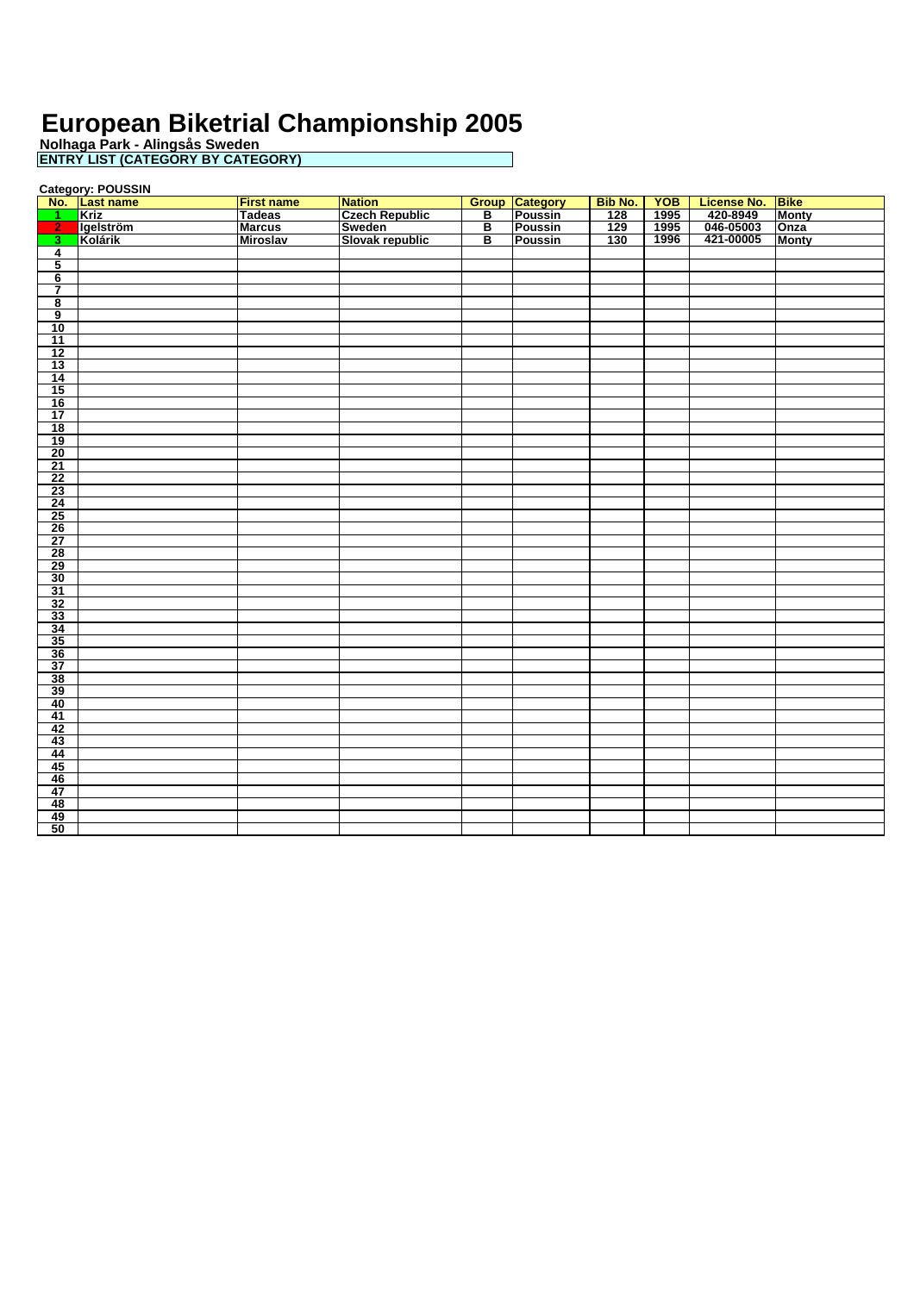**Nolhaga Park - Alingsås Sweden ENTRY LIST (CATEGORY BY CATEGORY)**

**Category: POUSSIN<br><u>No. Last name</u><br>1 Kriz No. Last name First name Nation Group Category Bib No. YOB License No. Bike Kriz Tadeas Czech Republic B Poussin 128 1995 420-8949 Monty Igelström Marcus Sweden B Poussin 129 1995 046-05003 Onza Kolárik Miroslav Slovak republic B Poussin 130 1996 421-00005 Monty**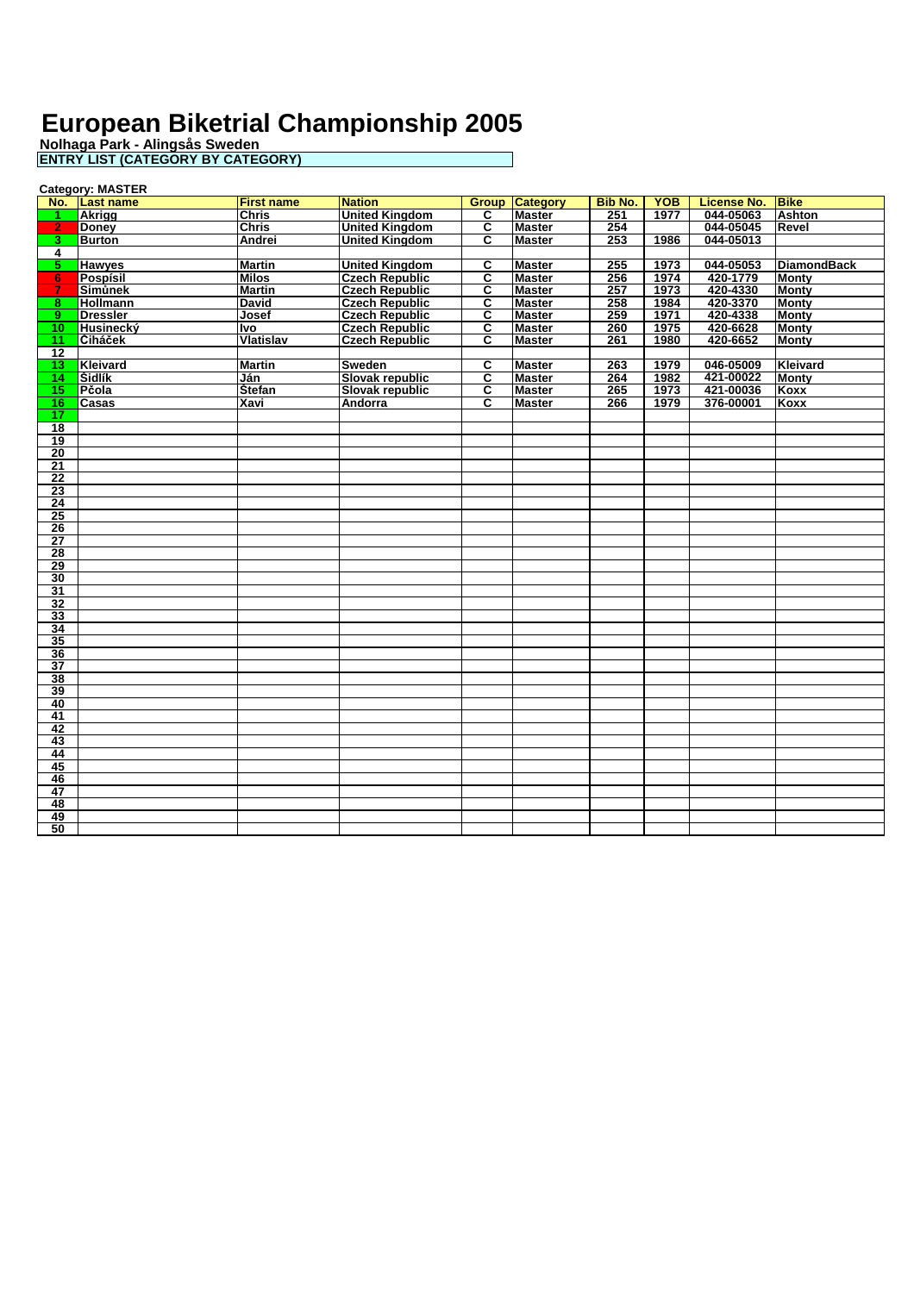|                 | <b>Category: MASTER</b> |                   |                       |                |                       |                |            |                    |                    |  |
|-----------------|-------------------------|-------------------|-----------------------|----------------|-----------------------|----------------|------------|--------------------|--------------------|--|
|                 | No. Last name           | <b>First name</b> | <b>Nation</b>         |                | <b>Group Category</b> | <b>Bib No.</b> | <b>YOB</b> | <b>License No.</b> | <b>Bike</b>        |  |
| 1               | <b>Akrigg</b>           | <b>Chris</b>      | <b>United Kingdom</b> | C              | <b>Master</b>         | 251            | 1977       | 044-05063          | <b>Ashton</b>      |  |
| $\mathbf{2}$    | <b>Doney</b>            | <b>Chris</b>      | <b>United Kingdom</b> | $\overline{c}$ | <b>Master</b>         | 254            |            | 044-05045          | Revel              |  |
| 3 <sub>1</sub>  | <b>Burton</b>           | Andrei            | <b>United Kingdom</b> | C              | <b>Master</b>         | 253            | 1986       | 044-05013          |                    |  |
| 4               |                         |                   |                       |                |                       |                |            |                    |                    |  |
| 5 <sub>1</sub>  | <b>Hawyes</b>           | <b>Martin</b>     | <b>United Kingdom</b> | C              | <b>Master</b>         | 255            | 1973       | 044-05053          | <b>DiamondBack</b> |  |
| 6 <sub>1</sub>  | Pospísil                | <b>Milos</b>      | <b>Czech Republic</b> | С              | <b>Master</b>         | 256            | 1974       | 420-1779           | <b>Monty</b>       |  |
|                 | Simůnek                 | <b>Martin</b>     | <b>Czech Republic</b> | С              | <b>Master</b>         | 257            | 1973       | 420-4330           | <b>Monty</b>       |  |
| 8               | Hollmann                | <b>David</b>      | <b>Czech Republic</b> | C              | <b>Master</b>         | 258            | 1984       | 420-3370           | <b>Monty</b>       |  |
| 9               | <b>Dressler</b>         | Josef             | <b>Czech Republic</b> | $\overline{c}$ | <b>Master</b>         | 259            | 1971       | 420-4338           | <b>Monty</b>       |  |
| 10 <sub>1</sub> | Husinecký               | Ivo               | <b>Czech Republic</b> | C              | <b>Master</b>         | 260            | 1975       | 420-6628           | <b>Monty</b>       |  |
| 11 <sub>1</sub> | Ciháček                 | Vlatislav         | <b>Czech Republic</b> | C              | <b>Master</b>         | 261            | 1980       | 420-6652           | <b>Monty</b>       |  |
| $\overline{12}$ |                         |                   |                       |                |                       |                |            |                    |                    |  |
| 13 <sup>°</sup> | <b>Kleivard</b>         | <b>Martin</b>     | <b>Sweden</b>         | c              | <b>Master</b>         | 263            | 1979       | 046-05009          | Kleivard           |  |
| 14              | Sidlík                  | Ján               | Slovak republic       | ट              | <b>Master</b>         | 264            | 1982       | 421-00022          | <b>Monty</b>       |  |
| 15              | Pčola                   | <b>Štefan</b>     | Slovak republic       | C              | <b>Master</b>         | 265            | 1973       | 421-00036          | Koxx               |  |
| 16              | Casas                   | Xavi              | Andorra               | c              | <b>Master</b>         | 266            | 1979       | 376-00001          | Koxx               |  |
| 17              |                         |                   |                       |                |                       |                |            |                    |                    |  |
| 18              |                         |                   |                       |                |                       |                |            |                    |                    |  |
| $\overline{19}$ |                         |                   |                       |                |                       |                |            |                    |                    |  |
| 20              |                         |                   |                       |                |                       |                |            |                    |                    |  |
| 21              |                         |                   |                       |                |                       |                |            |                    |                    |  |
| 22<br>23        |                         |                   |                       |                |                       |                |            |                    |                    |  |
| $\overline{24}$ |                         |                   |                       |                |                       |                |            |                    |                    |  |
| 25              |                         |                   |                       |                |                       |                |            |                    |                    |  |
| 26              |                         |                   |                       |                |                       |                |            |                    |                    |  |
| $\overline{27}$ |                         |                   |                       |                |                       |                |            |                    |                    |  |
| 28              |                         |                   |                       |                |                       |                |            |                    |                    |  |
| 29              |                         |                   |                       |                |                       |                |            |                    |                    |  |
| 30              |                         |                   |                       |                |                       |                |            |                    |                    |  |
| 31              |                         |                   |                       |                |                       |                |            |                    |                    |  |
| $\overline{32}$ |                         |                   |                       |                |                       |                |            |                    |                    |  |
| 33              |                         |                   |                       |                |                       |                |            |                    |                    |  |
| 34              |                         |                   |                       |                |                       |                |            |                    |                    |  |
| 35              |                         |                   |                       |                |                       |                |            |                    |                    |  |
| 36              |                         |                   |                       |                |                       |                |            |                    |                    |  |
| $\overline{37}$ |                         |                   |                       |                |                       |                |            |                    |                    |  |
| 38              |                         |                   |                       |                |                       |                |            |                    |                    |  |
| 39              |                         |                   |                       |                |                       |                |            |                    |                    |  |
| 40              |                         |                   |                       |                |                       |                |            |                    |                    |  |
| 41              |                         |                   |                       |                |                       |                |            |                    |                    |  |
| 42              |                         |                   |                       |                |                       |                |            |                    |                    |  |
| 43              |                         |                   |                       |                |                       |                |            |                    |                    |  |
| 44              |                         |                   |                       |                |                       |                |            |                    |                    |  |
| 45              |                         |                   |                       |                |                       |                |            |                    |                    |  |
| 46              |                         |                   |                       |                |                       |                |            |                    |                    |  |
| 47              |                         |                   |                       |                |                       |                |            |                    |                    |  |
| 48              |                         |                   |                       |                |                       |                |            |                    |                    |  |
| 49              |                         |                   |                       |                |                       |                |            |                    |                    |  |
| 50              |                         |                   |                       |                |                       |                |            |                    |                    |  |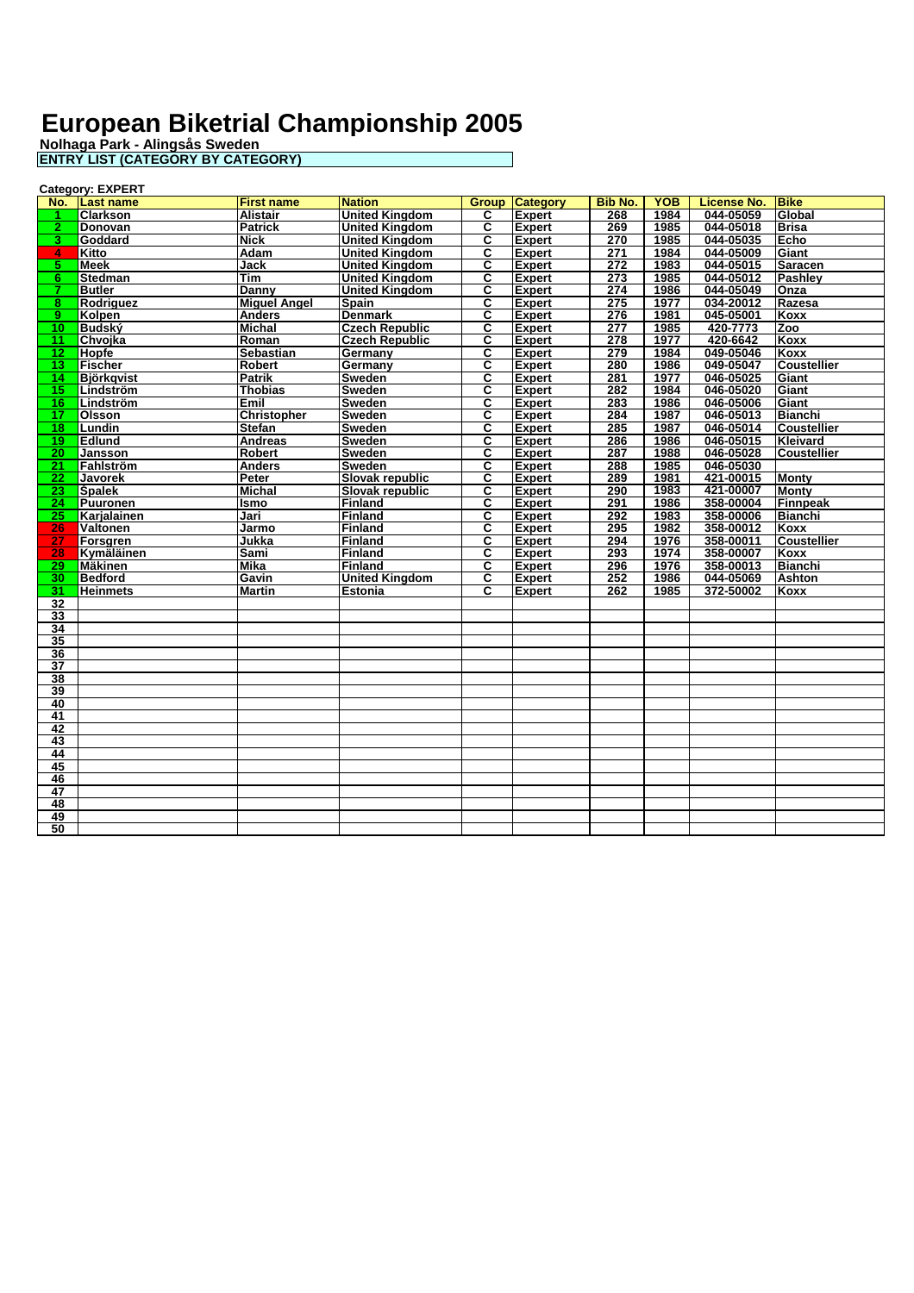|                 | <b>Category: EXPERT</b> |                     |                        |    |                       |                  |            |                    |                    |
|-----------------|-------------------------|---------------------|------------------------|----|-----------------------|------------------|------------|--------------------|--------------------|
|                 | No. Last name           | <b>First name</b>   | <b>Nation</b>          |    | <b>Group Category</b> | <b>Bib No.</b>   | <b>YOB</b> | <b>License No.</b> | <b>Bike</b>        |
|                 | <b>Clarkson</b>         | <b>Alistair</b>     | <b>United Kingdom</b>  | C. | <b>Expert</b>         | 268              | 1984       | 044-05059          | Global             |
| $\mathbf{2}^-$  | Donovan                 | <b>Patrick</b>      | <b>United Kingdom</b>  | C  | <b>Expert</b>         | 269              | 1985       | 044-05018          | <b>Brisa</b>       |
| 3.              | Goddard                 | Nick                | <b>United Kingdom</b>  | C  | <b>Expert</b>         | 270              | 1985       | 044-05035          | Echo               |
| $4 -$           | Kitto                   | <b>Adam</b>         | <b>United Kingdom</b>  | С  | <b>Expert</b>         | 271              | 1984       | 044-05009          | Giant              |
| 5.              | <b>Meek</b>             | Jack                | <b>United Kingdom</b>  | С  | <b>Expert</b>         | $\overline{272}$ | 1983       | 044-05015          | <b>Saracen</b>     |
| 6.              | <b>Stedman</b>          | Tim                 | <b>United Kingdom</b>  | C  | <b>Expert</b>         | 273              | 1985       | 044-05012          | Pashley            |
| 7               | <b>Butler</b>           | Danny               | <b>United Kingdom</b>  | C  | <b>Expert</b>         | 274              | 1986       | 044-05049          | Onza               |
| 8               | Rodriguez               | <b>Miguel Angel</b> | <b>Spain</b>           | С  | <b>Expert</b>         | 275              | 1977       | 034-20012          | Razesa             |
| 9.              | Kolpen                  | <b>Anders</b>       | <b>Denmark</b>         | C  | <b>Expert</b>         | 276              | 1981       | 045-05001          | <b>Koxx</b>        |
| 10 <sub>1</sub> | <b>Budský</b>           | <b>Michal</b>       | <b>Czech Republic</b>  | C  | <b>Expert</b>         | 277              | 1985       | 420-7773           | Zoo                |
| 11.             | Chvoika                 | Roman               | <b>Czech Republic</b>  | C  | <b>Expert</b>         | $\overline{278}$ | 1977       | 420-6642           | Koxx               |
| $12-$           | <b>Hopfe</b>            | <b>Sebastian</b>    | Germany                | C  | <b>Expert</b>         | 279              | 1984       | 049-05046          | Koxx               |
| 13 <sup>7</sup> | <b>Fischer</b>          | Robert              | Germany                | C  | <b>Expert</b>         | 280              | 1986       | 049-05047          | <b>Coustellier</b> |
| 14              | <b>Björkgvist</b>       | <b>Patrik</b>       | <b>Sweden</b>          | c  | <b>Expert</b>         | 281              | 1977       | 046-05025          | Giant              |
| 15              | Lindström               | <b>Thobias</b>      | <b>Sweden</b>          | C  | <b>Expert</b>         | 282              | 1984       | 046-05020          | Giant              |
| 16              | Lindström               | Emil                | Sweden                 | C  | <b>Expert</b>         | 283              | 1986       | 046-05006          | Giant              |
| 17              | Olsson                  | <b>Christopher</b>  | <b>Sweden</b>          | C  | <b>Expert</b>         | 284              | 1987       | 046-05013          | <b>Bianchi</b>     |
| 18              | Lundin                  | <b>Stefan</b>       | <b>Sweden</b>          | C  | <b>Expert</b>         | 285              | 1987       | 046-05014          | <b>Coustellier</b> |
| $19-1$          | <b>Edlund</b>           | <b>Andreas</b>      | <b>Sweden</b>          | C  | <b>Expert</b>         | 286              | 1986       | 046-05015          | <b>Kleivard</b>    |
| 20              | Jansson                 | <b>Robert</b>       | <b>Sweden</b>          | C  | <b>Expert</b>         | 287              | 1988       | 046-05028          | Coustellier        |
| $\overline{21}$ | Fahlström               | <b>Anders</b>       | Sweden                 | C  | <b>Expert</b>         | 288              | 1985       | 046-05030          |                    |
| 22 <sub>1</sub> | <b>Javorek</b>          | Peter               | <b>Slovak republic</b> | C  | <b>Expert</b>         | 289              | 1981       | 421-00015          | <b>Monty</b>       |
| 23 <sup>7</sup> | <b>Spalek</b>           | <b>Michal</b>       | Slovak republic        | C  | <b>Expert</b>         | 290              | 1983       | 421-00007          | <b>Monty</b>       |
| 24.             | Puuronen                | Ismo                | Finland                | C  | <b>Expert</b>         | 291              | 1986       | 358-00004          | <b>Finnpeak</b>    |
| 25              | Karjalainen             | Jari                | Finland                | С  | <b>Expert</b>         | 292              | 1983       | 358-00006          | <b>Bianchi</b>     |
| 26              | Valtonen                | Jarmo               | Finland                | C  | <b>Expert</b>         | 295              | 1982       | 358-00012          | Koxx               |
| 27              | Forsgren                | Jukka               | Finland                | C  | <b>Expert</b>         | 294              | 1976       | 358-00011          | <b>Coustellier</b> |
| 28              | Kymäläinen              | Sami                | Finland                | C  | <b>Expert</b>         | 293              | 1974       | 358-00007          | Koxx               |
| 29              | <b>Mäkinen</b>          | <b>Mika</b>         | Finland                | С  | <b>Expert</b>         | 296              | 1976       | 358-00013          | <b>Bianchi</b>     |
| 30              | <b>Bedford</b>          | Gavin               | <b>United Kingdom</b>  | С  | <b>Expert</b>         | 252              | 1986       | 044-05069          | <b>Ashton</b>      |
| 31              | <b>Heinmets</b>         | <b>Martin</b>       | <b>Estonia</b>         | C  | <b>Expert</b>         | 262              | 1985       | 372-50002          | Koxx               |
| 32              |                         |                     |                        |    |                       |                  |            |                    |                    |
| 33              |                         |                     |                        |    |                       |                  |            |                    |                    |
| 34              |                         |                     |                        |    |                       |                  |            |                    |                    |
| 35              |                         |                     |                        |    |                       |                  |            |                    |                    |
| $\overline{36}$ |                         |                     |                        |    |                       |                  |            |                    |                    |
| $\overline{37}$ |                         |                     |                        |    |                       |                  |            |                    |                    |
| 38              |                         |                     |                        |    |                       |                  |            |                    |                    |
| 39              |                         |                     |                        |    |                       |                  |            |                    |                    |
| 40              |                         |                     |                        |    |                       |                  |            |                    |                    |
| $\overline{41}$ |                         |                     |                        |    |                       |                  |            |                    |                    |
| 42              |                         |                     |                        |    |                       |                  |            |                    |                    |
| 43              |                         |                     |                        |    |                       |                  |            |                    |                    |
| 44              |                         |                     |                        |    |                       |                  |            |                    |                    |
| 45              |                         |                     |                        |    |                       |                  |            |                    |                    |
| 46              |                         |                     |                        |    |                       |                  |            |                    |                    |
| 47              |                         |                     |                        |    |                       |                  |            |                    |                    |
| 48              |                         |                     |                        |    |                       |                  |            |                    |                    |
| 49              |                         |                     |                        |    |                       |                  |            |                    |                    |
| 50              |                         |                     |                        |    |                       |                  |            |                    |                    |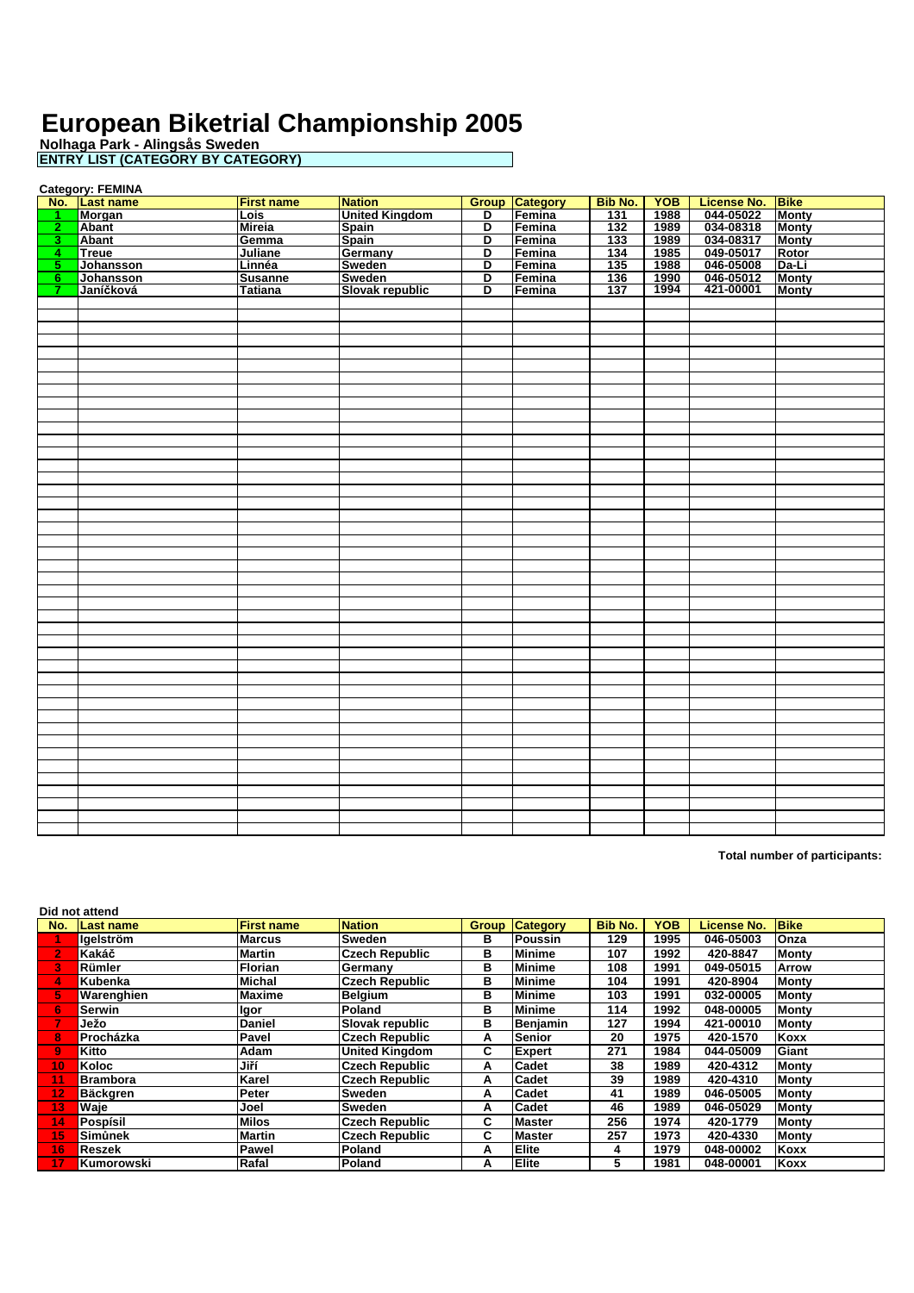**Nolhaga Park - Alingsås Sweden ENTRY LIST (CATEGORY BY CATEGORY)**

|                | <b>Category: FEMINA</b> |                   |                       |                         |                       |                |            |                    |              |  |  |
|----------------|-------------------------|-------------------|-----------------------|-------------------------|-----------------------|----------------|------------|--------------------|--------------|--|--|
|                | No. Last name           | <b>First name</b> | <b>Nation</b>         |                         | <b>Group Category</b> | <b>Bib No.</b> | <b>YOB</b> | <b>License No.</b> | <b>Bike</b>  |  |  |
| $\mathbf{1}$   | Morgan                  | <b>Lois</b>       | <b>United Kingdom</b> | D                       | Femina                | 131            | 1988       | 044-05022          | Monty        |  |  |
| 2 <sub>2</sub> | <b>Abant</b>            | <b>Mireia</b>     | <b>Spain</b>          | $\overline{\mathsf{D}}$ | Femina                | 132            | 1989       | 034-08318          | <b>Monty</b> |  |  |
| 3 <sup>7</sup> | Abant                   | Gemma             | <b>Spain</b>          | D                       | Femina                | 133            | 1989       | 034-08317          | <b>Monty</b> |  |  |
| 4 <sup>1</sup> | Treue                   | <b>Juliane</b>    | Germany               | D                       | Femina                | 134            | 1985       | 049-05017          | Rotor        |  |  |
| $5^{-}$        | Johansson               | Linnéa            | Sweden                | D                       | Femina                | 135            | 1988       | 046-05008          | Da-Li        |  |  |
| $6 -$          | Johansson               | <b>Susanne</b>    | Sweden                | D                       | Femina                | 136            | 1990       | 046-05012          | <b>Monty</b> |  |  |
| $\mathbf{7}$   | Janíčková               | <b>Tatiana</b>    | Slovak republic       | D                       | Femina                | 137            | 1994       | 421-00001          | <b>Monty</b> |  |  |
|                |                         |                   |                       |                         |                       |                |            |                    |              |  |  |
|                |                         |                   |                       |                         |                       |                |            |                    |              |  |  |
|                |                         |                   |                       |                         |                       |                |            |                    |              |  |  |
|                |                         |                   |                       |                         |                       |                |            |                    |              |  |  |
|                |                         |                   |                       |                         |                       |                |            |                    |              |  |  |
|                |                         |                   |                       |                         |                       |                |            |                    |              |  |  |
|                |                         |                   |                       |                         |                       |                |            |                    |              |  |  |
|                |                         |                   |                       |                         |                       |                |            |                    |              |  |  |
|                |                         |                   |                       |                         |                       |                |            |                    |              |  |  |
|                |                         |                   |                       |                         |                       |                |            |                    |              |  |  |
|                |                         |                   |                       |                         |                       |                |            |                    |              |  |  |
|                |                         |                   |                       |                         |                       |                |            |                    |              |  |  |
|                |                         |                   |                       |                         |                       |                |            |                    |              |  |  |
|                |                         |                   |                       |                         |                       |                |            |                    |              |  |  |
|                |                         |                   |                       |                         |                       |                |            |                    |              |  |  |
|                |                         |                   |                       |                         |                       |                |            |                    |              |  |  |
|                |                         |                   |                       |                         |                       |                |            |                    |              |  |  |
|                |                         |                   |                       |                         |                       |                |            |                    |              |  |  |
|                |                         |                   |                       |                         |                       |                |            |                    |              |  |  |
|                |                         |                   |                       |                         |                       |                |            |                    |              |  |  |
|                |                         |                   |                       |                         |                       |                |            |                    |              |  |  |
|                |                         |                   |                       |                         |                       |                |            |                    |              |  |  |
|                |                         |                   |                       |                         |                       |                |            |                    |              |  |  |
|                |                         |                   |                       |                         |                       |                |            |                    |              |  |  |
|                |                         |                   |                       |                         |                       |                |            |                    |              |  |  |
|                |                         |                   |                       |                         |                       |                |            |                    |              |  |  |
|                |                         |                   |                       |                         |                       |                |            |                    |              |  |  |
|                |                         |                   |                       |                         |                       |                |            |                    |              |  |  |
|                |                         |                   |                       |                         |                       |                |            |                    |              |  |  |
|                |                         |                   |                       |                         |                       |                |            |                    |              |  |  |
|                |                         |                   |                       |                         |                       |                |            |                    |              |  |  |
|                |                         |                   |                       |                         |                       |                |            |                    |              |  |  |
|                |                         |                   |                       |                         |                       |                |            |                    |              |  |  |
|                |                         |                   |                       |                         |                       |                |            |                    |              |  |  |
|                |                         |                   |                       |                         |                       |                |            |                    |              |  |  |
|                |                         |                   |                       |                         |                       |                |            |                    |              |  |  |
|                |                         |                   |                       |                         |                       |                |            |                    |              |  |  |
|                |                         |                   |                       |                         |                       |                |            |                    |              |  |  |
|                |                         |                   |                       |                         |                       |                |            |                    |              |  |  |
|                |                         |                   |                       |                         |                       |                |            |                    |              |  |  |
|                |                         |                   |                       |                         |                       |                |            |                    |              |  |  |
|                |                         |                   |                       |                         |                       |                |            |                    |              |  |  |
|                |                         |                   |                       |                         |                       |                |            |                    |              |  |  |

**Total number of participants:**

**Did not attend**

| וטווסיומוני     |               |                                     |                                                  |                |                                                                                                                                                                                                               |            |                    |              |  |  |
|-----------------|---------------|-------------------------------------|--------------------------------------------------|----------------|---------------------------------------------------------------------------------------------------------------------------------------------------------------------------------------------------------------|------------|--------------------|--------------|--|--|
| Last name       |               | <b>Nation</b>                       | Group                                            |                | <b>Bib No.</b>                                                                                                                                                                                                | <b>YOB</b> | <b>License No.</b> | <b>Bike</b>  |  |  |
| laelström       |               |                                     | в                                                | <b>Poussin</b> | 129                                                                                                                                                                                                           | 1995       | 046-05003          | <b>Onza</b>  |  |  |
| Kakáč           | Martin        | <b>Czech Republic</b>               | в                                                |                | 107                                                                                                                                                                                                           | 1992       | 420-8847           | <b>Monty</b> |  |  |
| Rümler          | Florian       |                                     | в                                                |                | 108                                                                                                                                                                                                           | 1991       | 049-05015          | Arrow        |  |  |
| <b>Kubenka</b>  | Michal        | <b>Czech Republic</b>               | в                                                |                | 104                                                                                                                                                                                                           | 1991       | 420-8904           | <b>Monty</b> |  |  |
| Warenghien      | <b>Maxime</b> |                                     | в                                                |                | 103                                                                                                                                                                                                           | 1991       | 032-00005          | <b>Monty</b> |  |  |
| Serwin          | <b>Igor</b>   | Poland                              | в                                                |                | 114                                                                                                                                                                                                           | 1992       | 048-00005          | <b>Monty</b> |  |  |
| Ježo            | <b>Daniel</b> | Slovak republic                     | в                                                |                | 127                                                                                                                                                                                                           | 1994       | 421-00010          | <b>Monty</b> |  |  |
| Procházka       | Pavel         | <b>Czech Republic</b>               | А                                                |                | 20                                                                                                                                                                                                            | 1975       | 420-1570           | Koxx         |  |  |
| Kitto           | Adam          | <b>United Kingdom</b>               | C                                                |                | 271                                                                                                                                                                                                           | 1984       | 044-05009          | Giant        |  |  |
| Koloc           | Jiří          | <b>Czech Republic</b>               | А                                                | Cadet          | 38                                                                                                                                                                                                            | 1989       | 420-4312           | Monty        |  |  |
| <b>Brambora</b> | Karel         | <b>Czech Republic</b>               | А                                                | Cadet          | 39                                                                                                                                                                                                            | 1989       | 420-4310           | <b>Monty</b> |  |  |
| Bäckgren        | Peter         | <b>Sweden</b>                       | А                                                | Cadet          | 41                                                                                                                                                                                                            | 1989       | 046-05005          | <b>Monty</b> |  |  |
| Waie            | Joel          |                                     | А                                                | Cadet          | 46                                                                                                                                                                                                            | 1989       | 046-05029          | Montv        |  |  |
| Pospísil        | <b>Milos</b>  | <b>Czech Republic</b>               | C                                                |                | 256                                                                                                                                                                                                           | 1974       | 420-1779           | Montv        |  |  |
| Simůnek         | <b>Martin</b> | <b>Czech Republic</b>               | C.                                               |                | 257                                                                                                                                                                                                           | 1973       | 420-4330           | <b>Monty</b> |  |  |
| Reszek          | Pawel         | Poland                              | А                                                |                | 4                                                                                                                                                                                                             | 1979       | 048-00002          | Koxx         |  |  |
| Kumorowski      | Rafal         |                                     | А                                                |                | 5                                                                                                                                                                                                             | 1981       | 048-00001          | Koxx         |  |  |
|                 |               | <b>First name</b><br><b>IMarcus</b> | Sweden<br>Germany<br>Belgium<br>Sweden<br>Poland |                | <b>Category</b><br><b>Minime</b><br><b>Minime</b><br><b>Minime</b><br><b>Minime</b><br><b>Minime</b><br><b>Benjamin</b><br><b>Senior</b><br><b>Expert</b><br><b>Master</b><br><b>Master</b><br>Elite<br>Elite |            |                    |              |  |  |